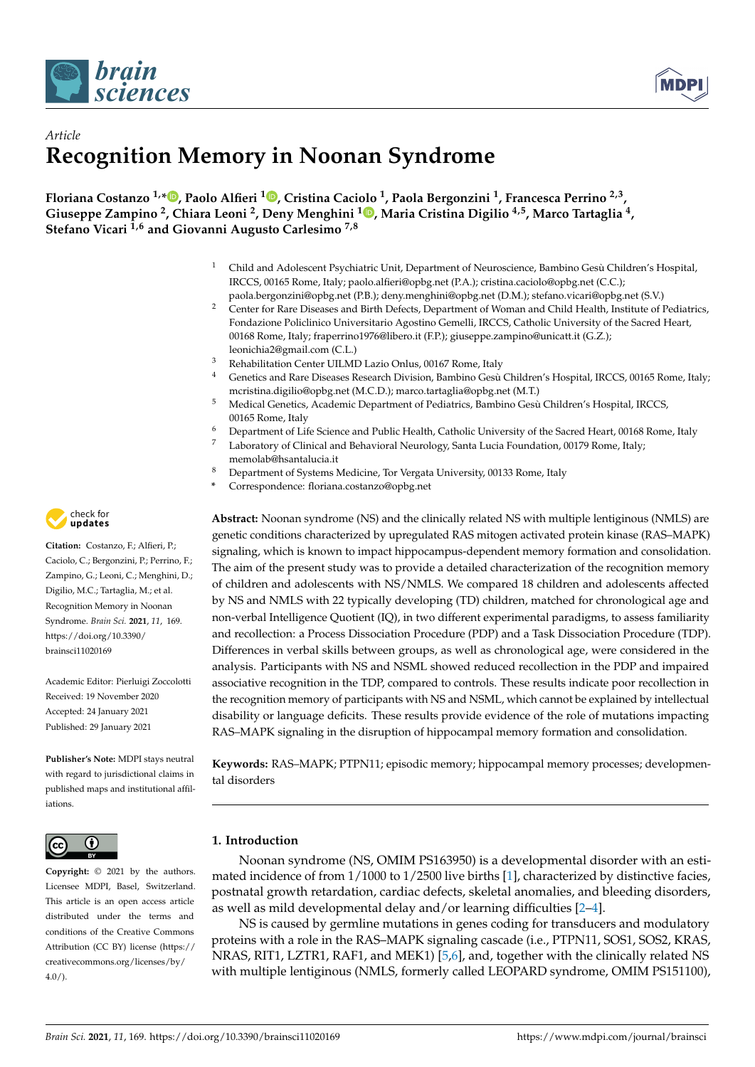



# *Article* **Recognition Memory in Noonan Syndrome**

**Floriana Costanzo 1,\* [,](https://orcid.org/0000-0002-0877-9691) Paolo Alfieri <sup>1</sup> [,](https://orcid.org/0000-0003-2197-9417) Cristina Caciolo <sup>1</sup> , Paola Bergonzini <sup>1</sup> , Francesca Perrino 2,3 , Giuseppe Zampino <sup>2</sup> , Chiara Leoni <sup>2</sup> , Deny Menghini <sup>1</sup> [,](https://orcid.org/0000-0002-8418-9570) Maria Cristina Digilio 4,5, Marco Tartaglia <sup>4</sup> , Stefano Vicari 1,6 and Giovanni Augusto Carlesimo 7,8**

- <sup>1</sup> Child and Adolescent Psychiatric Unit, Department of Neuroscience, Bambino Gesù Children's Hospital, IRCCS, 00165 Rome, Italy; paolo.alfieri@opbg.net (P.A.); cristina.caciolo@opbg.net (C.C.); paola.bergonzini@opbg.net (P.B.); deny.menghini@opbg.net (D.M.); stefano.vicari@opbg.net (S.V.)
- <sup>2</sup> Center for Rare Diseases and Birth Defects, Department of Woman and Child Health, Institute of Pediatrics, Fondazione Policlinico Universitario Agostino Gemelli, IRCCS, Catholic University of the Sacred Heart, 00168 Rome, Italy; fraperrino1976@libero.it (F.P.); giuseppe.zampino@unicatt.it (G.Z.); leonichia2@gmail.com (C.L.)
- <sup>3</sup> Rehabilitation Center UILMD Lazio Onlus, 00167 Rome, Italy
- <sup>4</sup> Genetics and Rare Diseases Research Division, Bambino Gesù Children's Hospital, IRCCS, 00165 Rome, Italy; mcristina.digilio@opbg.net (M.C.D.); marco.tartaglia@opbg.net (M.T.)
- <sup>5</sup> Medical Genetics, Academic Department of Pediatrics, Bambino Gesù Children's Hospital, IRCCS, 00165 Rome, Italy
- <sup>6</sup> Department of Life Science and Public Health, Catholic University of the Sacred Heart, 00168 Rome, Italy
- <sup>7</sup> Laboratory of Clinical and Behavioral Neurology, Santa Lucia Foundation, 00179 Rome, Italy; memolab@hsantalucia.it
- <sup>8</sup> Department of Systems Medicine, Tor Vergata University, 00133 Rome, Italy
- **\*** Correspondence: floriana.costanzo@opbg.net

**Abstract:** Noonan syndrome (NS) and the clinically related NS with multiple lentiginous (NMLS) are genetic conditions characterized by upregulated RAS mitogen activated protein kinase (RAS–MAPK) signaling, which is known to impact hippocampus-dependent memory formation and consolidation. The aim of the present study was to provide a detailed characterization of the recognition memory of children and adolescents with NS/NMLS. We compared 18 children and adolescents affected by NS and NMLS with 22 typically developing (TD) children, matched for chronological age and non-verbal Intelligence Quotient (IQ), in two different experimental paradigms, to assess familiarity and recollection: a Process Dissociation Procedure (PDP) and a Task Dissociation Procedure (TDP). Differences in verbal skills between groups, as well as chronological age, were considered in the analysis. Participants with NS and NSML showed reduced recollection in the PDP and impaired associative recognition in the TDP, compared to controls. These results indicate poor recollection in the recognition memory of participants with NS and NSML, which cannot be explained by intellectual disability or language deficits. These results provide evidence of the role of mutations impacting RAS–MAPK signaling in the disruption of hippocampal memory formation and consolidation.

**Keywords:** RAS–MAPK; PTPN11; episodic memory; hippocampal memory processes; developmental disorders

## **1. Introduction**

Noonan syndrome (NS, OMIM PS163950) is a developmental disorder with an estimated incidence of from 1/1000 to 1/2500 live births [\[1\]](#page-13-0), characterized by distinctive facies, postnatal growth retardation, cardiac defects, skeletal anomalies, and bleeding disorders, as well as mild developmental delay and/or learning difficulties [\[2–](#page-13-1)[4\]](#page-13-2).

NS is caused by germline mutations in genes coding for transducers and modulatory proteins with a role in the RAS–MAPK signaling cascade (i.e., PTPN11, SOS1, SOS2, KRAS, NRAS, RIT1, LZTR1, RAF1, and MEK1) [\[5,](#page-13-3)[6\]](#page-13-4), and, together with the clinically related NS with multiple lentiginous (NMLS, formerly called LEOPARD syndrome, OMIM PS151100),



**Citation:** Costanzo, F.; Alfieri, P.; Caciolo, C.; Bergonzini, P.; Perrino, F.; Zampino, G.; Leoni, C.; Menghini, D.; Digilio, M.C.; Tartaglia, M.; et al. Recognition Memory in Noonan Syndrome. *Brain Sci.* **2021**, *11*, 169. [https://doi.org/10.3390/](https://doi.org/10.3390/brainsci11020169) [brainsci11020169](https://doi.org/10.3390/brainsci11020169)

Academic Editor: Pierluigi Zoccolotti Received: 19 November 2020 Accepted: 24 January 2021 Published: 29 January 2021

**Publisher's Note:** MDPI stays neutral with regard to jurisdictional claims in published maps and institutional affiliations.



**Copyright:** © 2021 by the authors. Licensee MDPI, Basel, Switzerland. This article is an open access article distributed under the terms and conditions of the Creative Commons Attribution (CC BY) license (https:/[/](https://creativecommons.org/licenses/by/4.0/) [creativecommons.org/licenses/by/](https://creativecommons.org/licenses/by/4.0/)  $4.0/$ ).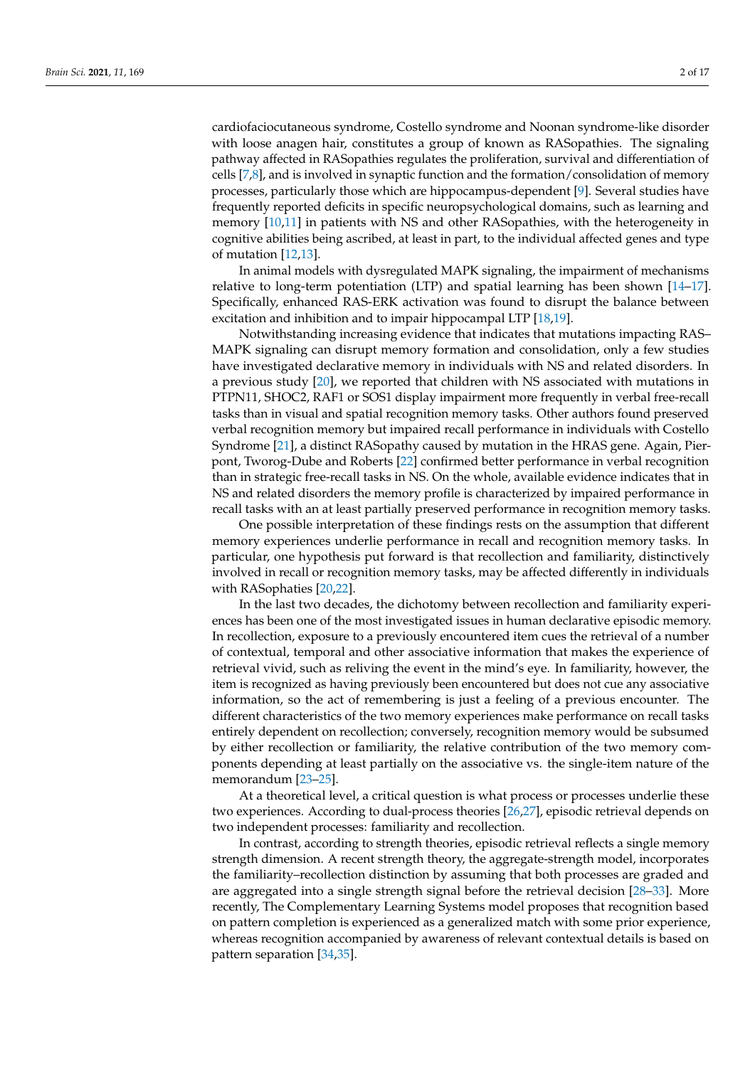cardiofaciocutaneous syndrome, Costello syndrome and Noonan syndrome-like disorder with loose anagen hair, constitutes a group of known as RASopathies. The signaling pathway affected in RASopathies regulates the proliferation, survival and differentiation of cells [\[7,](#page-13-5)[8\]](#page-13-6), and is involved in synaptic function and the formation/consolidation of memory processes, particularly those which are hippocampus-dependent [\[9\]](#page-13-7). Several studies have frequently reported deficits in specific neuropsychological domains, such as learning and memory [\[10](#page-13-8)[,11\]](#page-13-9) in patients with NS and other RASopathies, with the heterogeneity in cognitive abilities being ascribed, at least in part, to the individual affected genes and type of mutation [\[12,](#page-13-10)[13\]](#page-14-0).

In animal models with dysregulated MAPK signaling, the impairment of mechanisms relative to long-term potentiation (LTP) and spatial learning has been shown [\[14](#page-14-1)[–17\]](#page-14-2). Specifically, enhanced RAS-ERK activation was found to disrupt the balance between excitation and inhibition and to impair hippocampal LTP [\[18,](#page-14-3)[19\]](#page-14-4).

Notwithstanding increasing evidence that indicates that mutations impacting RAS– MAPK signaling can disrupt memory formation and consolidation, only a few studies have investigated declarative memory in individuals with NS and related disorders. In a previous study [\[20\]](#page-14-5), we reported that children with NS associated with mutations in PTPN11, SHOC2, RAF1 or SOS1 display impairment more frequently in verbal free-recall tasks than in visual and spatial recognition memory tasks. Other authors found preserved verbal recognition memory but impaired recall performance in individuals with Costello Syndrome [\[21\]](#page-14-6), a distinct RASopathy caused by mutation in the HRAS gene. Again, Pierpont, Tworog-Dube and Roberts [\[22\]](#page-14-7) confirmed better performance in verbal recognition than in strategic free-recall tasks in NS. On the whole, available evidence indicates that in NS and related disorders the memory profile is characterized by impaired performance in recall tasks with an at least partially preserved performance in recognition memory tasks.

One possible interpretation of these findings rests on the assumption that different memory experiences underlie performance in recall and recognition memory tasks. In particular, one hypothesis put forward is that recollection and familiarity, distinctively involved in recall or recognition memory tasks, may be affected differently in individuals with RASophaties [\[20](#page-14-5)[,22\]](#page-14-7).

In the last two decades, the dichotomy between recollection and familiarity experiences has been one of the most investigated issues in human declarative episodic memory. In recollection, exposure to a previously encountered item cues the retrieval of a number of contextual, temporal and other associative information that makes the experience of retrieval vivid, such as reliving the event in the mind's eye. In familiarity, however, the item is recognized as having previously been encountered but does not cue any associative information, so the act of remembering is just a feeling of a previous encounter. The different characteristics of the two memory experiences make performance on recall tasks entirely dependent on recollection; conversely, recognition memory would be subsumed by either recollection or familiarity, the relative contribution of the two memory components depending at least partially on the associative vs. the single-item nature of the memorandum [\[23](#page-14-8)[–25\]](#page-14-9).

At a theoretical level, a critical question is what process or processes underlie these two experiences. According to dual-process theories [\[26,](#page-14-10)[27\]](#page-14-11), episodic retrieval depends on two independent processes: familiarity and recollection.

In contrast, according to strength theories, episodic retrieval reflects a single memory strength dimension. A recent strength theory, the aggregate-strength model, incorporates the familiarity–recollection distinction by assuming that both processes are graded and are aggregated into a single strength signal before the retrieval decision [\[28](#page-14-12)[–33\]](#page-14-13). More recently, The Complementary Learning Systems model proposes that recognition based on pattern completion is experienced as a generalized match with some prior experience, whereas recognition accompanied by awareness of relevant contextual details is based on pattern separation [\[34](#page-14-14)[,35\]](#page-14-15).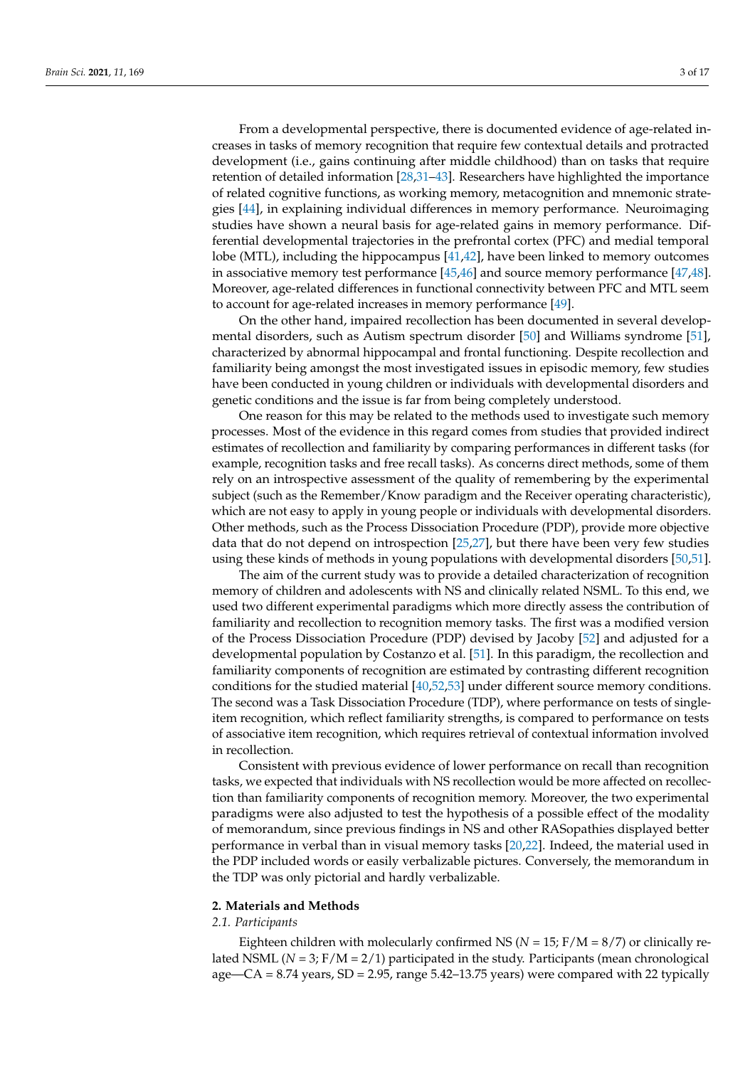From a developmental perspective, there is documented evidence of age-related increases in tasks of memory recognition that require few contextual details and protracted development (i.e., gains continuing after middle childhood) than on tasks that require retention of detailed information [\[28](#page-14-12)[,31](#page-14-16)[–43\]](#page-15-0). Researchers have highlighted the importance of related cognitive functions, as working memory, metacognition and mnemonic strategies [\[44\]](#page-15-1), in explaining individual differences in memory performance. Neuroimaging studies have shown a neural basis for age-related gains in memory performance. Differential developmental trajectories in the prefrontal cortex (PFC) and medial temporal lobe (MTL), including the hippocampus [\[41](#page-14-17)[,42\]](#page-14-18), have been linked to memory outcomes in associative memory test performance [\[45](#page-15-2)[,46\]](#page-15-3) and source memory performance [\[47,](#page-15-4)[48\]](#page-15-5). Moreover, age-related differences in functional connectivity between PFC and MTL seem to account for age-related increases in memory performance [\[49\]](#page-15-6).

On the other hand, impaired recollection has been documented in several developmental disorders, such as Autism spectrum disorder [\[50\]](#page-15-7) and Williams syndrome [\[51\]](#page-15-8), characterized by abnormal hippocampal and frontal functioning. Despite recollection and familiarity being amongst the most investigated issues in episodic memory, few studies have been conducted in young children or individuals with developmental disorders and genetic conditions and the issue is far from being completely understood.

One reason for this may be related to the methods used to investigate such memory processes. Most of the evidence in this regard comes from studies that provided indirect estimates of recollection and familiarity by comparing performances in different tasks (for example, recognition tasks and free recall tasks). As concerns direct methods, some of them rely on an introspective assessment of the quality of remembering by the experimental subject (such as the Remember/Know paradigm and the Receiver operating characteristic), which are not easy to apply in young people or individuals with developmental disorders. Other methods, such as the Process Dissociation Procedure (PDP), provide more objective data that do not depend on introspection [\[25,](#page-14-9)[27\]](#page-14-11), but there have been very few studies using these kinds of methods in young populations with developmental disorders [\[50](#page-15-7)[,51\]](#page-15-8).

The aim of the current study was to provide a detailed characterization of recognition memory of children and adolescents with NS and clinically related NSML. To this end, we used two different experimental paradigms which more directly assess the contribution of familiarity and recollection to recognition memory tasks. The first was a modified version of the Process Dissociation Procedure (PDP) devised by Jacoby [\[52\]](#page-15-9) and adjusted for a developmental population by Costanzo et al. [\[51\]](#page-15-8). In this paradigm, the recollection and familiarity components of recognition are estimated by contrasting different recognition conditions for the studied material [\[40,](#page-14-19)[52,](#page-15-9)[53\]](#page-15-10) under different source memory conditions. The second was a Task Dissociation Procedure (TDP), where performance on tests of singleitem recognition, which reflect familiarity strengths, is compared to performance on tests of associative item recognition, which requires retrieval of contextual information involved in recollection.

Consistent with previous evidence of lower performance on recall than recognition tasks, we expected that individuals with NS recollection would be more affected on recollection than familiarity components of recognition memory. Moreover, the two experimental paradigms were also adjusted to test the hypothesis of a possible effect of the modality of memorandum, since previous findings in NS and other RASopathies displayed better performance in verbal than in visual memory tasks [\[20](#page-14-5)[,22\]](#page-14-7). Indeed, the material used in the PDP included words or easily verbalizable pictures. Conversely, the memorandum in the TDP was only pictorial and hardly verbalizable.

## **2. Materials and Methods**

## *2.1. Participants*

Eighteen children with molecularly confirmed NS ( $N = 15$ ;  $F/M = 8/7$ ) or clinically related NSML (*N* = 3; F/M = 2/1) participated in the study. Participants (mean chronological age—CA = 8.74 years, SD = 2.95, range 5.42–13.75 years) were compared with 22 typically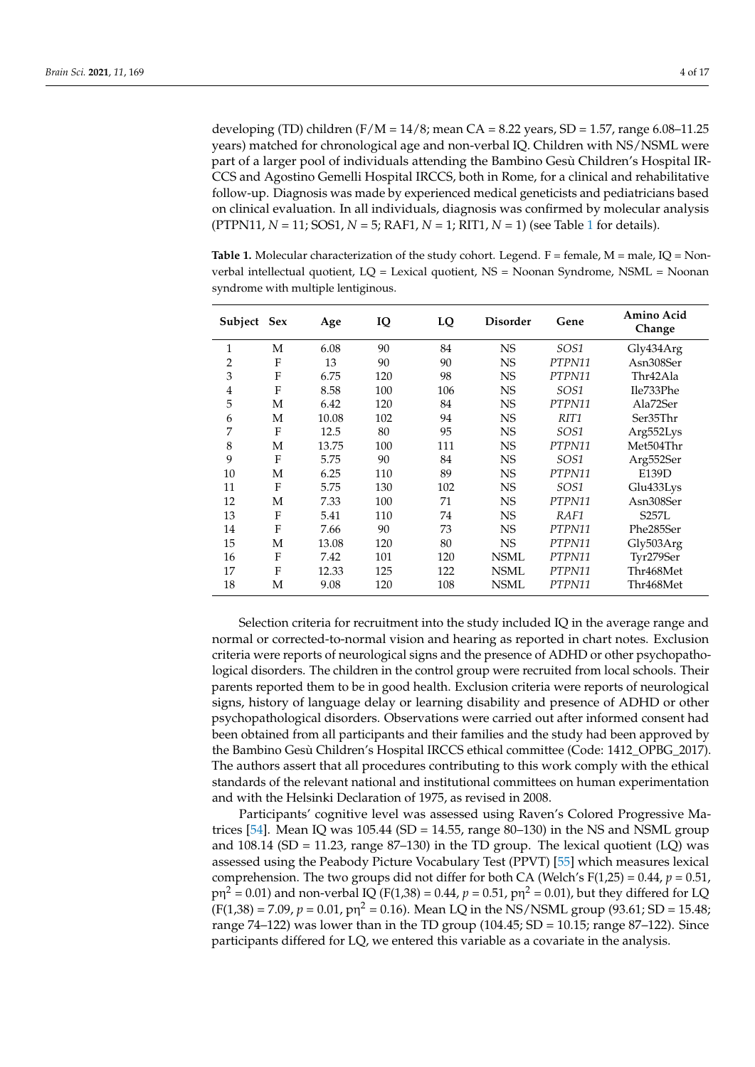developing (TD) children (F/M =  $14/8$ ; mean CA =  $8.22$  years, SD = 1.57, range 6.08–11.25 years) matched for chronological age and non-verbal IQ. Children with NS/NSML were part of a larger pool of individuals attending the Bambino Gesù Children's Hospital IR-CCS and Agostino Gemelli Hospital IRCCS, both in Rome, for a clinical and rehabilitative follow-up. Diagnosis was made by experienced medical geneticists and pediatricians based on clinical evaluation. In all individuals, diagnosis was confirmed by molecular analysis (PTPN11, *N* = 11; SOS1, *N* = 5; RAF1, *N* = 1; RIT1, *N* = 1) (see Table [1](#page-3-0) for details).

<span id="page-3-0"></span>**Table 1.** Molecular characterization of the study cohort. Legend.  $F =$  female,  $M =$  male,  $IQ =$  Nonverbal intellectual quotient, LQ = Lexical quotient, NS = Noonan Syndrome, NSML = Noonan syndrome with multiple lentiginous.

| Subject Sex    |   | Age   | IQ  | LQ  | <b>Disorder</b> | Gene             | Amino Acid<br>Change |
|----------------|---|-------|-----|-----|-----------------|------------------|----------------------|
| 1              | М | 6.08  | 90  | 84  | <b>NS</b>       | SOS1             | Gly434Arg            |
| 2              | F | 13    | 90  | 90  | <b>NS</b>       | PTPN11           | Asn308Ser            |
| 3              | F | 6.75  | 120 | 98  | <b>NS</b>       | PTPN11           | Thr42Ala             |
| $\overline{4}$ | F | 8.58  | 100 | 106 | <b>NS</b>       | SOS1             | Ile733Phe            |
| 5              | М | 6.42  | 120 | 84  | <b>NS</b>       | PTPN11           | Ala72Ser             |
| 6              | М | 10.08 | 102 | 94  | <b>NS</b>       | RIT <sub>1</sub> | Ser35Thr             |
| 7              | F | 12.5  | 80  | 95  | <b>NS</b>       | SOS1             | Arg552Lys            |
| 8              | М | 13.75 | 100 | 111 | <b>NS</b>       | PTPN11           | Met504Thr            |
| 9              | F | 5.75  | 90  | 84  | <b>NS</b>       | SOS1             | Arg552Ser            |
| 10             | М | 6.25  | 110 | 89  | <b>NS</b>       | PTPN11           | E139D                |
| 11             | F | 5.75  | 130 | 102 | <b>NS</b>       | SOS1             | Glu433Lys            |
| 12             | М | 7.33  | 100 | 71  | <b>NS</b>       | PTPN11           | Asn308Ser            |
| 13             | F | 5.41  | 110 | 74  | <b>NS</b>       | RAF1             | S257L                |
| 14             | F | 7.66  | 90  | 73  | <b>NS</b>       | PTPN11           | Phe285Ser            |
| 15             | М | 13.08 | 120 | 80  | <b>NS</b>       | PTPN11           | Gly503Arg            |
| 16             | F | 7.42  | 101 | 120 | <b>NSML</b>     | PTPN11           | Tyr279Ser            |
| 17             | F | 12.33 | 125 | 122 | <b>NSML</b>     | PTPN11           | Thr468Met            |
| 18             | M | 9.08  | 120 | 108 | <b>NSML</b>     | PTPN11           | Thr468Met            |

Selection criteria for recruitment into the study included IQ in the average range and normal or corrected-to-normal vision and hearing as reported in chart notes. Exclusion criteria were reports of neurological signs and the presence of ADHD or other psychopathological disorders. The children in the control group were recruited from local schools. Their parents reported them to be in good health. Exclusion criteria were reports of neurological signs, history of language delay or learning disability and presence of ADHD or other psychopathological disorders. Observations were carried out after informed consent had been obtained from all participants and their families and the study had been approved by the Bambino Gesù Children's Hospital IRCCS ethical committee (Code: 1412\_OPBG\_2017). The authors assert that all procedures contributing to this work comply with the ethical standards of the relevant national and institutional committees on human experimentation and with the Helsinki Declaration of 1975, as revised in 2008.

Participants' cognitive level was assessed using Raven's Colored Progressive Ma-trices [\[54\]](#page-15-11). Mean IQ was  $105.44$  (SD = 14.55, range 80–130) in the NS and NSML group and  $108.14$  (SD = 11.23, range  $87-130$ ) in the TD group. The lexical quotient (LQ) was assessed using the Peabody Picture Vocabulary Test (PPVT) [\[55\]](#page-15-12) which measures lexical comprehension. The two groups did not differ for both CA (Welch's  $F(1,25) = 0.44$ ,  $p = 0.51$ ,  $\text{p} \eta^2 = 0.01$ ) and non-verbal IQ (F(1,38) = 0.44,  $p = 0.51$ ,  $\text{p} \eta^2 = 0.01$ ), but they differed for LQ  $(F(1,38) = 7.09, p = 0.01, p\eta^2 = 0.16)$ . Mean LQ in the NS/NSML group (93.61; SD = 15.48; range 74–122) was lower than in the TD group (104.45; SD = 10.15; range 87–122). Since participants differed for LQ, we entered this variable as a covariate in the analysis.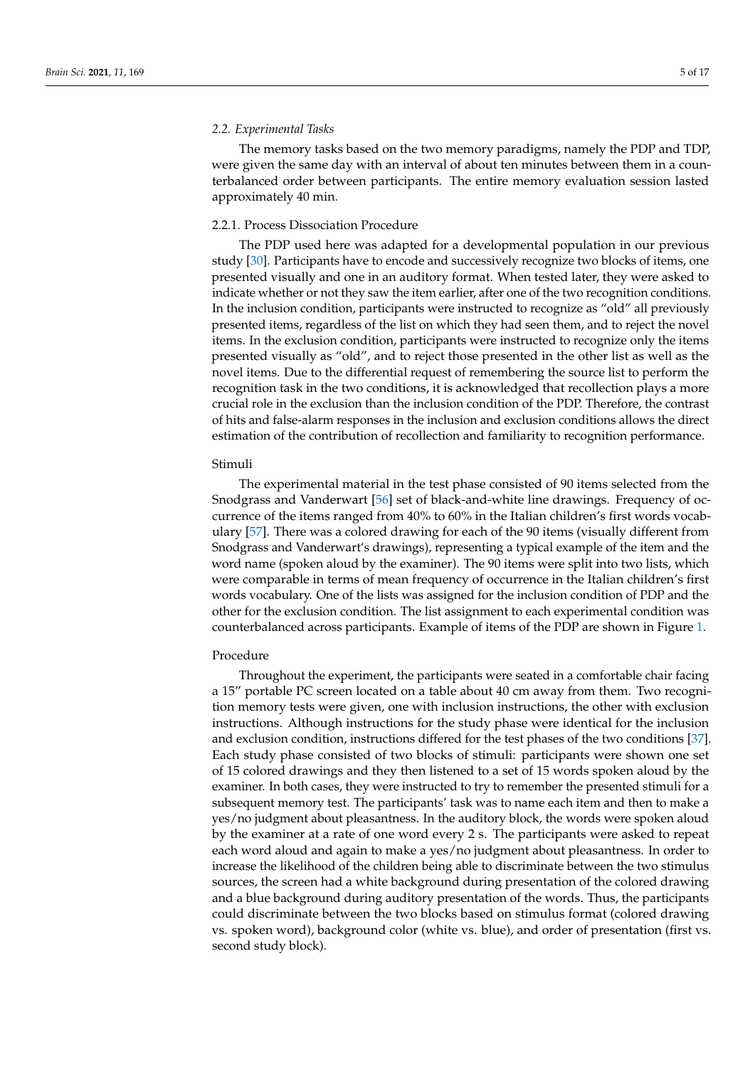### *2.2. Experimental Tasks*

The memory tasks based on the two memory paradigms, namely the PDP and TDP, were given the same day with an interval of about ten minutes between them in a counterbalanced order between participants. The entire memory evaluation session lasted approximately 40 min.

## 2.2.1. Process Dissociation Procedure

The PDP used here was adapted for a developmental population in our previous study [\[30\]](#page-14-20). Participants have to encode and successively recognize two blocks of items, one presented visually and one in an auditory format. When tested later, they were asked to indicate whether or not they saw the item earlier, after one of the two recognition conditions. In the inclusion condition, participants were instructed to recognize as "old" all previously presented items, regardless of the list on which they had seen them, and to reject the novel items. In the exclusion condition, participants were instructed to recognize only the items presented visually as "old", and to reject those presented in the other list as well as the novel items. Due to the differential request of remembering the source list to perform the recognition task in the two conditions, it is acknowledged that recollection plays a more crucial role in the exclusion than the inclusion condition of the PDP. Therefore, the contrast of hits and false-alarm responses in the inclusion and exclusion conditions allows the direct estimation of the contribution of recollection and familiarity to recognition performance.

## Stimuli

The experimental material in the test phase consisted of 90 items selected from the Snodgrass and Vanderwart [\[56\]](#page-15-13) set of black-and-white line drawings. Frequency of occurrence of the items ranged from 40% to 60% in the Italian children's first words vocabulary [\[57\]](#page-15-14). There was a colored drawing for each of the 90 items (visually different from Snodgrass and Vanderwart's drawings), representing a typical example of the item and the word name (spoken aloud by the examiner). The 90 items were split into two lists, which were comparable in terms of mean frequency of occurrence in the Italian children's first words vocabulary. One of the lists was assigned for the inclusion condition of PDP and the other for the exclusion condition. The list assignment to each experimental condition was counterbalanced across participants. Example of items of the PDP are shown in Figure [1.](#page-5-0)

### Procedure

Throughout the experiment, the participants were seated in a comfortable chair facing a 15" portable PC screen located on a table about 40 cm away from them. Two recognition memory tests were given, one with inclusion instructions, the other with exclusion instructions. Although instructions for the study phase were identical for the inclusion and exclusion condition, instructions differed for the test phases of the two conditions [\[37\]](#page-14-21). Each study phase consisted of two blocks of stimuli: participants were shown one set of 15 colored drawings and they then listened to a set of 15 words spoken aloud by the examiner. In both cases, they were instructed to try to remember the presented stimuli for a subsequent memory test. The participants' task was to name each item and then to make a yes/no judgment about pleasantness. In the auditory block, the words were spoken aloud by the examiner at a rate of one word every 2 s. The participants were asked to repeat each word aloud and again to make a yes/no judgment about pleasantness. In order to increase the likelihood of the children being able to discriminate between the two stimulus sources, the screen had a white background during presentation of the colored drawing and a blue background during auditory presentation of the words. Thus, the participants could discriminate between the two blocks based on stimulus format (colored drawing vs. spoken word), background color (white vs. blue), and order of presentation (first vs. second study block).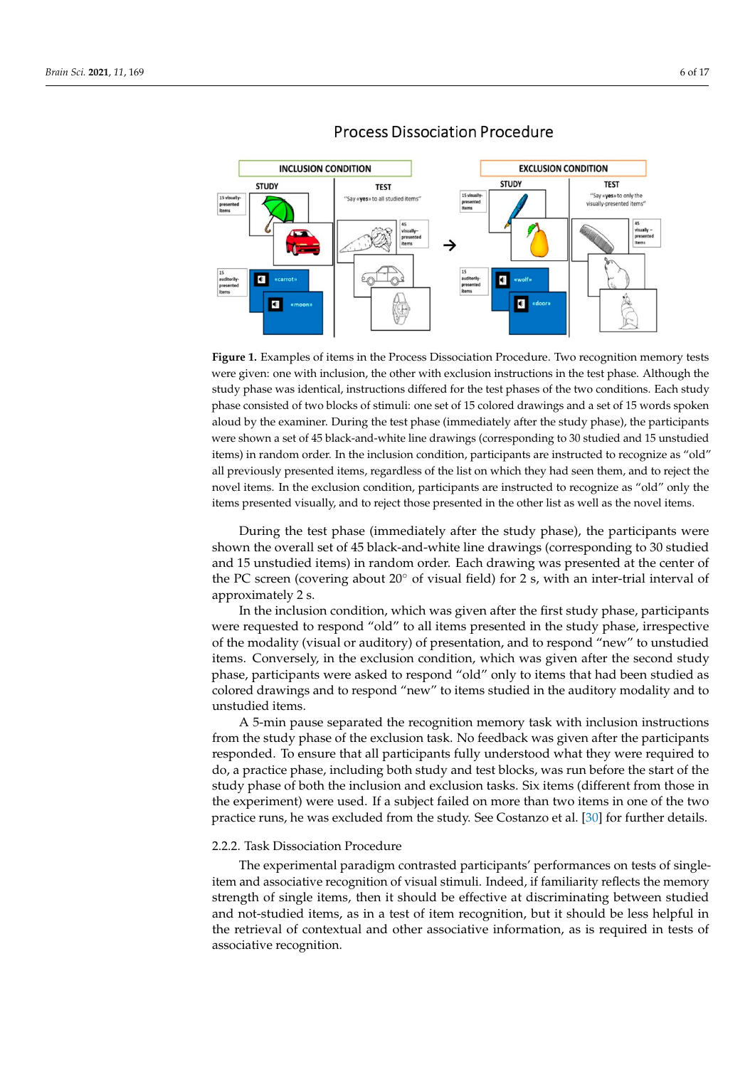<span id="page-5-0"></span>

## **Process Dissociation Procedure**

study phase was identical, instructions differed for the test phases of the two conditions. Each study phase consisted of two blocks of stimuli: one set of 15 colored drawings and a set of 15 words spoken aloud by the examiner. During the test phase (immediately after the study phase), the participants were shown a set of 45 black-and-white line drawings (corresponding to 30 studied and 15 unstudied items) in random order. In the inclusion condition, participants are instructed to recognize as "old" all previously presented items, regardless of the list on which they had seen them, and to reject the novel items. In the exclusion condition, participants are instructed to recognize as "old" only the structure to recognize as "old" all previously previously previously previously previously the list of the lis<br> $\frac{1}{2}$ items presented visually, and to reject those presented in the other list as well as the novel items. **Figure 1.** Examples of items in the Process Dissociation Procedure. Two recognition memory tests were given: one with inclusion, the other with exclusion instructions in the test phase. Although the

During the test phase (immediately after the study phase), the participants were But the state of the novel items. The novel items. The novel shown the overall set of 45 black-and-white line drawings (corresponding to 30 studied and 15 unstudied items) in random order. Each drawing was presented at the center of  $T_{\text{trivialely 2 s}}$ the PC screen (covering about  $20°$  of visual field) for 2 s, with an inter-trial interval of approximately 2 s.

In the inclusion condition, which was given after the first study phase, participants were requested to respond "old" to all items presented in the study phase, irrespective of the modality (visual or auditory) of presentation, and to respond "new" to unstudied items. Conversely, in the exclusion condition, which was given after the second study phase, participants were asked to respond "old" only to items that had been studied as colored drawings and to respond "new" to items studied in the auditory modality and to examiner. In both cases, they were instructed to try to remember the presented stimuli for the presented states.

A 5-min pause separated the recognition memory task with inclusion instructions from the study phase of the exclusion task. No feedback was given after the participants responded. To ensure that all participants fully understood what they were required to do, a practice phase, including both study and test blocks, was run before the start of the study phase of both the inclusion and exclusion tasks. Six items (different from those in the experiment) were used. If a subject failed on more than two items in one of the two practice runs, he was excluded from the study. See Costanzo et al. [30] for further details.

## 2.2.2. Task Dissociation Procedure

The experimental paradigm contrasted participants' performances on tests of singleitem and associative recognition of visual stimuli. Indeed, if familiarity reflects the memory strength of single items, then it should be effective at discriminating between studied and not-studied items, as in a test of item recognition, but it should be less helpful in the retrieval of contextual and other associative information, as is required in tests of associative recognition.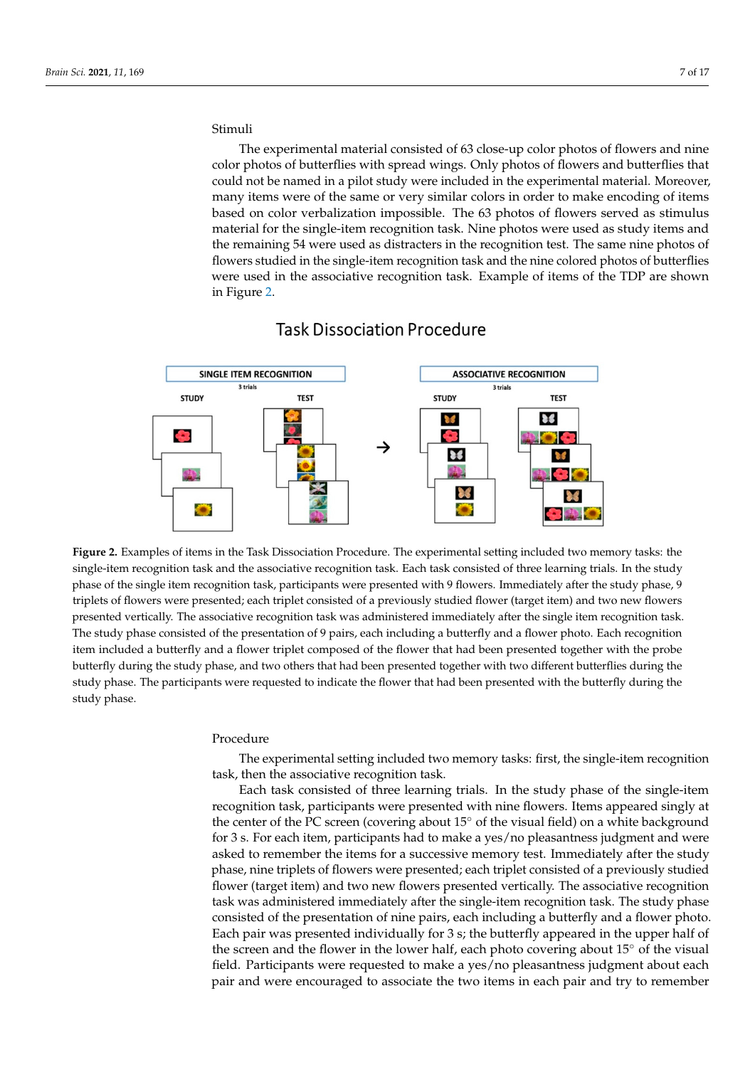#### Stimuli  $T$  experimental material material consisted of  $63$  close-up color photos of  $\alpha$  photos of  $\alpha$

The experimental material consisted of 63 close-up color photos of flowers and nine color photos of butterflies with spread wings. Only photos of flowers and butterflies that could not be named in a pilot study were included in the experimental material. Moreover, many items were of the same or very similar colors in order to make encoding of items based on color verbalization impossible. The 63 photos of flowers served as stimulus material for the single-item recognition task. Nine photos were used as study items and the remaining 54 were used as distracters in the recognition test. The same nine photos of flowers studied in the single-item recognition task and the nine colored photos of butterflies were used in the associative recognition task. Example of items of the TDP are shown in Figure [2.](#page-6-0)

<span id="page-6-0"></span>

## **Task Dissociation Procedure**

single-item recognition task and the associative recognition task. Each task consisted of three learning trials. In the study two memory tasks: the single-item recognition tasks: the single-item recognition tasks and the associative reco<br>In also item recognition task, recognitionals are compared to site 0.0 career. In modificially effect the star phase of the single item recognition task, participants were presented with 9 flowers. Immediately after the study phase, 9 triplets of flowers were presented; each triplet consisted of a previously studied flower (target item) and two new flowers presented vertically. The associative recognition task was administered immediately after the single item recognition task. **Figure 2.** Examples of items in the Task Dissociation Procedure. The experimental setting included two memory tasks: the The study phase consisted of the presentation of 9 pairs, each including a butterfly and a flower photo. Each recognition item included a butterfly and a flower triplet composed of the flower that had been presented together with the probe butterfly during the study phase, and two others that had been presented together with two different butterflies during the study phase. The participants were requested to indicate the flower that had been presented with the butterfly during the study phase.

## Procedure

The experimental setting included two memory tasks: first, the single-item recognition task, then the associative recognition task.

Each task consisted of three learning trials. In the study phase of the single-item recognition task, participants were presented with nine flowers. Items appeared singly at the center of the PC screen (covering about 15◦ of the visual field) on a white background for 3 s. For each item, participants had to make a yes/no pleasantness judgment and were asked to remember the items for a successive memory test. Immediately after the study phase, nine triplets of flowers were presented; each triplet consisted of a previously studied flower (target item) and two new flowers presented vertically. The associative recognition task was administered immediately after the single-item recognition task. The study phase consisted of the presentation of nine pairs, each including a butterfly and a flower photo. Each pair was presented individually for 3 s; the butterfly appeared in the upper half of the screen and the flower in the lower half, each photo covering about 15◦ of the visual field. Participants were requested to make a yes/no pleasantness judgment about each pair and were encouraged to associate the two items in each pair and try to remember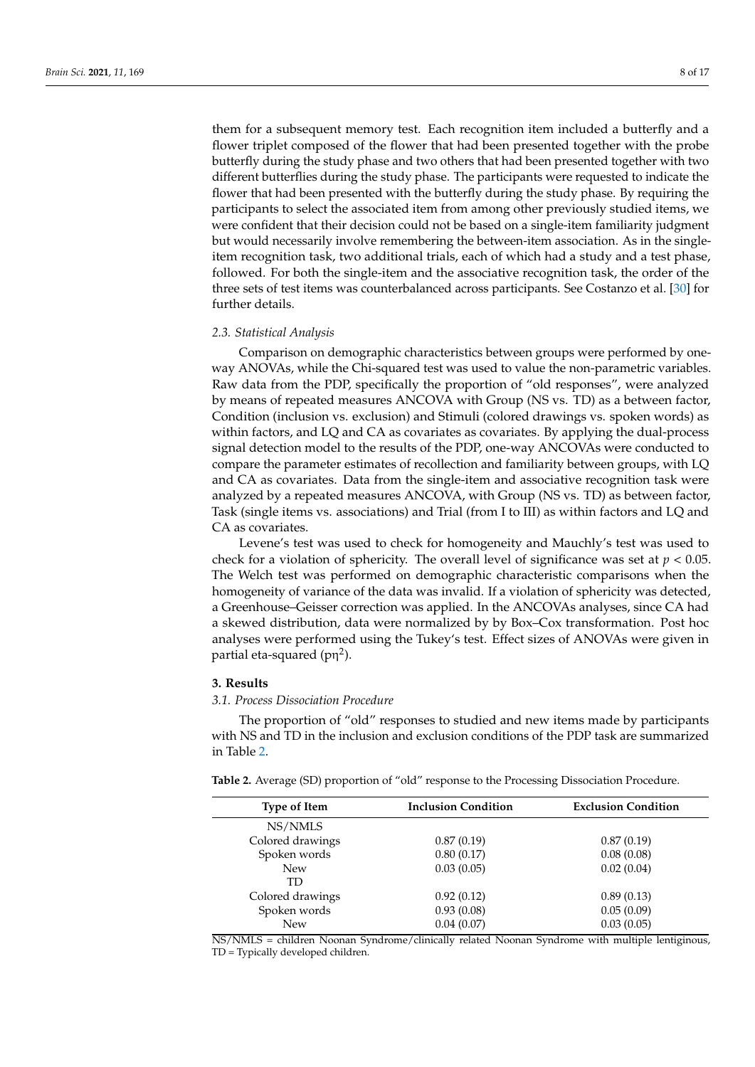them for a subsequent memory test. Each recognition item included a butterfly and a flower triplet composed of the flower that had been presented together with the probe butterfly during the study phase and two others that had been presented together with two different butterflies during the study phase. The participants were requested to indicate the flower that had been presented with the butterfly during the study phase. By requiring the participants to select the associated item from among other previously studied items, we were confident that their decision could not be based on a single-item familiarity judgment but would necessarily involve remembering the between-item association. As in the singleitem recognition task, two additional trials, each of which had a study and a test phase, followed. For both the single-item and the associative recognition task, the order of the three sets of test items was counterbalanced across participants. See Costanzo et al. [\[30\]](#page-14-20) for further details.

## *2.3. Statistical Analysis*

Comparison on demographic characteristics between groups were performed by oneway ANOVAs, while the Chi-squared test was used to value the non-parametric variables. Raw data from the PDP, specifically the proportion of "old responses", were analyzed by means of repeated measures ANCOVA with Group (NS vs. TD) as a between factor, Condition (inclusion vs. exclusion) and Stimuli (colored drawings vs. spoken words) as within factors, and LQ and CA as covariates as covariates. By applying the dual-process signal detection model to the results of the PDP, one-way ANCOVAs were conducted to compare the parameter estimates of recollection and familiarity between groups, with LQ and CA as covariates. Data from the single-item and associative recognition task were analyzed by a repeated measures ANCOVA, with Group (NS vs. TD) as between factor, Task (single items vs. associations) and Trial (from I to III) as within factors and LQ and CA as covariates.

Levene's test was used to check for homogeneity and Mauchly's test was used to check for a violation of sphericity. The overall level of significance was set at  $p < 0.05$ . The Welch test was performed on demographic characteristic comparisons when the homogeneity of variance of the data was invalid. If a violation of sphericity was detected, a Greenhouse–Geisser correction was applied. In the ANCOVAs analyses, since CA had a skewed distribution, data were normalized by by Box–Cox transformation. Post hoc analyses were performed using the Tukey's test. Effect sizes of ANOVAs were given in partial eta-squared (pη<sup>2</sup>).

## **3. Results**

## *3.1. Process Dissociation Procedure*

The proportion of "old" responses to studied and new items made by participants with NS and TD in the inclusion and exclusion conditions of the PDP task are summarized in Table [2.](#page-7-0)

<span id="page-7-0"></span>

| <b>Type of Item</b> | <b>Inclusion Condition</b> | <b>Exclusion Condition</b> |  |
|---------------------|----------------------------|----------------------------|--|
|                     |                            |                            |  |
| NS/NMLS             |                            |                            |  |
| Colored drawings    | 0.87(0.19)                 | 0.87(0.19)                 |  |
| Spoken words        | 0.80(0.17)                 | 0.08(0.08)                 |  |
| <b>New</b>          | 0.03(0.05)                 | 0.02(0.04)                 |  |
| TD                  |                            |                            |  |
| Colored drawings    | 0.92(0.12)                 | 0.89(0.13)                 |  |
| Spoken words        | 0.93(0.08)                 | 0.05(0.09)                 |  |
| <b>New</b>          | 0.04(0.07)                 | 0.03(0.05)                 |  |
|                     |                            |                            |  |

NS/NMLS = children Noonan Syndrome/clinically related Noonan Syndrome with multiple lentiginous, TD = Typically developed children.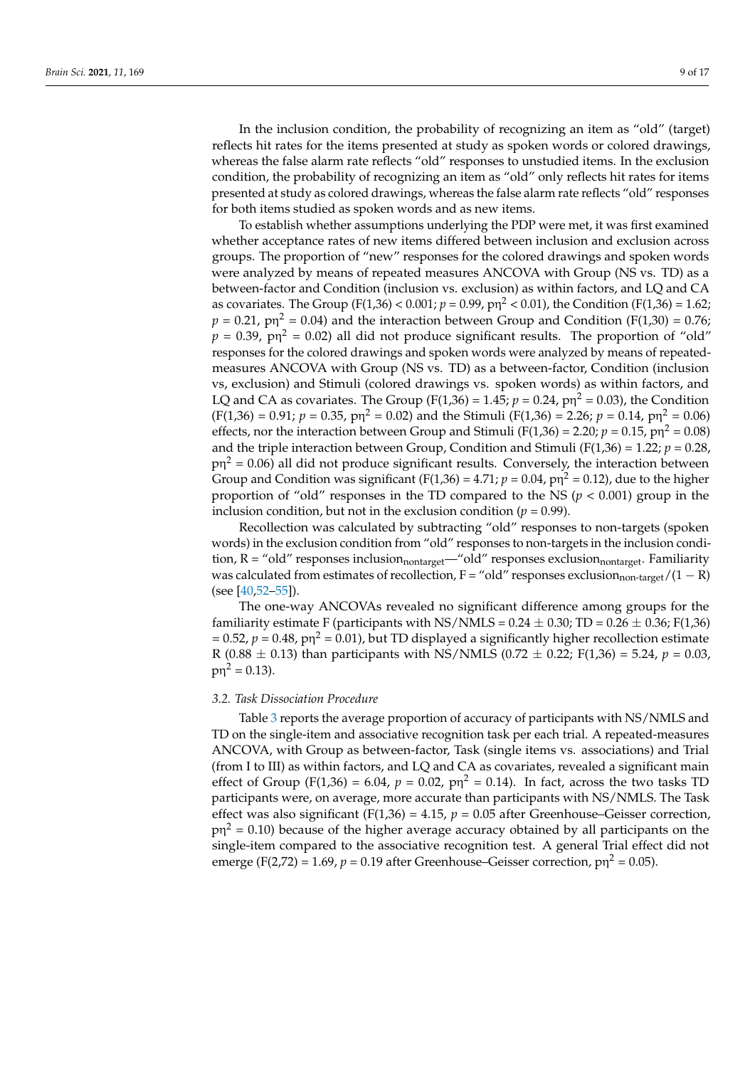In the inclusion condition, the probability of recognizing an item as "old" (target) reflects hit rates for the items presented at study as spoken words or colored drawings, whereas the false alarm rate reflects "old" responses to unstudied items. In the exclusion condition, the probability of recognizing an item as "old" only reflects hit rates for items presented at study as colored drawings, whereas the false alarm rate reflects "old" responses for both items studied as spoken words and as new items.

To establish whether assumptions underlying the PDP were met, it was first examined whether acceptance rates of new items differed between inclusion and exclusion across groups. The proportion of "new" responses for the colored drawings and spoken words were analyzed by means of repeated measures ANCOVA with Group (NS vs. TD) as a between-factor and Condition (inclusion vs. exclusion) as within factors, and LQ and CA as covariates. The Group (F(1,36) <  $0.001$ ;  $p = 0.99$ ,  $p\eta^2$  < 0.01), the Condition (F(1,36) = 1.62;  $p = 0.21$ ,  $p\eta^2 = 0.04$ ) and the interaction between Group and Condition (F(1,30) = 0.76;  $p = 0.39$ ,  $p\eta^2 = 0.02$ ) all did not produce significant results. The proportion of "old" responses for the colored drawings and spoken words were analyzed by means of repeatedmeasures ANCOVA with Group (NS vs. TD) as a between-factor, Condition (inclusion vs, exclusion) and Stimuli (colored drawings vs. spoken words) as within factors, and LQ and CA as covariates. The Group (F(1,36) = 1.45;  $p = 0.24$ ,  $p\eta^2 = 0.03$ ), the Condition  $(F(1,36) = 0.91; p = 0.35, pn^2 = 0.02)$  and the Stimuli  $(F(1,36) = 2.26; p = 0.14, pn^2 = 0.06)$ effects, nor the interaction between Group and Stimuli ( $F(1,36) = 2.20$ ;  $p = 0.15$ ,  $p\eta^2 = 0.08$ ) and the triple interaction between Group, Condition and Stimuli ( $F(1,36) = 1.22$ ;  $p = 0.28$ ,  $\text{p} \eta^2$  = 0.06) all did not produce significant results. Conversely, the interaction between Group and Condition was significant (F(1,36) =  $4.71$ ;  $p = 0.04$ ,  $p\eta^2 = 0.12$ ), due to the higher proportion of "old" responses in the TD compared to the NS (*p* < 0.001) group in the inclusion condition, but not in the exclusion condition ( $p = 0.99$ ).

Recollection was calculated by subtracting "old" responses to non-targets (spoken words) in the exclusion condition from "old" responses to non-targets in the inclusion condition,  $R =$  "old" responses inclusion<sub>nontarget</sub>—"old" responses exclusion<sub>nontarget</sub>. Familiarity was calculated from estimates of recollection, F = "old" responses exclusion<sub>non-target</sub>/(1 - R) (see [\[40](#page-14-19)[,52](#page-15-9)[–55\]](#page-15-12)).

The one-way ANCOVAs revealed no significant difference among groups for the familiarity estimate F (participants with NS/NMLS =  $0.24 \pm 0.30$ ; TD =  $0.26 \pm 0.36$ ; F(1,36)  $= 0.52$ ,  $p = 0.48$ ,  $p\eta^2 = 0.01$ ), but TD displayed a significantly higher recollection estimate R (0.88  $\pm$  0.13) than participants with NS/NMLS (0.72  $\pm$  0.22; F(1,36) = 5.24, *p* = 0.03,  $p\eta^2 = 0.13$ ).

## *3.2. Task Dissociation Procedure*

Table [3](#page-9-0) reports the average proportion of accuracy of participants with NS/NMLS and TD on the single-item and associative recognition task per each trial. A repeated-measures ANCOVA, with Group as between-factor, Task (single items vs. associations) and Trial (from I to III) as within factors, and LQ and CA as covariates, revealed a significant main effect of Group ( $F(1,36) = 6.04$ ,  $p = 0.02$ ,  $p\eta^2 = 0.14$ ). In fact, across the two tasks TD participants were, on average, more accurate than participants with NS/NMLS. The Task effect was also significant (F(1,36) = 4.15,  $p = 0.05$  after Greenhouse–Geisser correction,  $\text{p} \eta^2$  = 0.10) because of the higher average accuracy obtained by all participants on the single-item compared to the associative recognition test. A general Trial effect did not emerge (F(2,72) = 1.69,  $p = 0.19$  after Greenhouse–Geisser correction,  $p\eta^2 = 0.05$ ).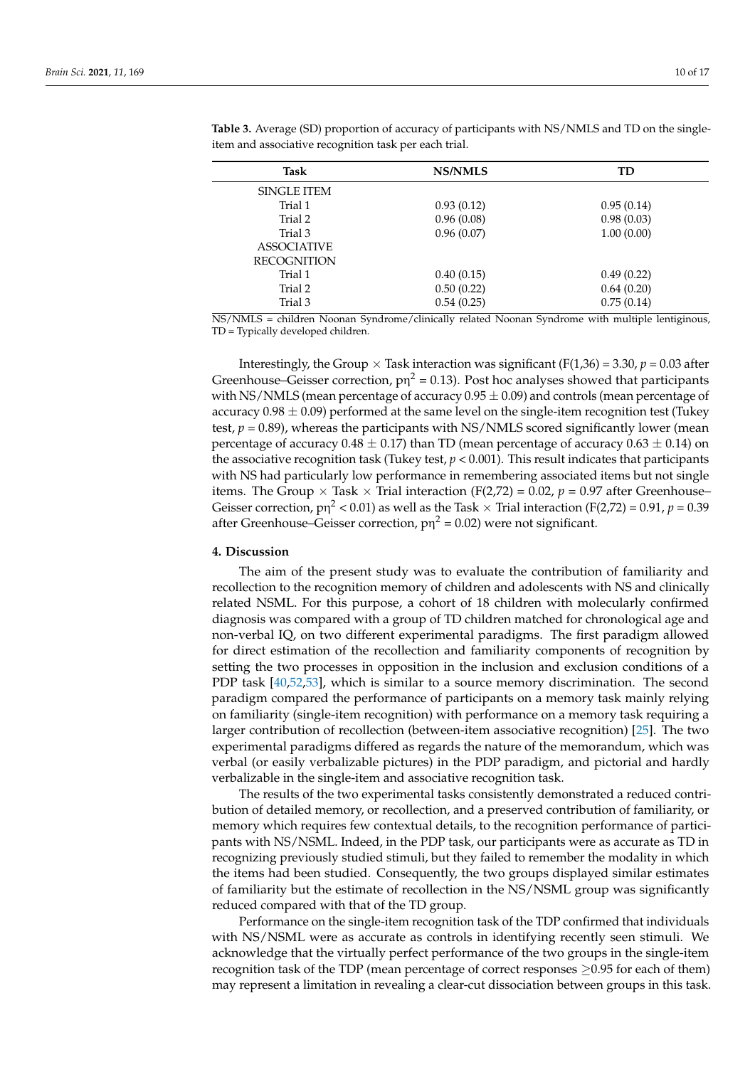| <b>NS/NMLS</b> | TD         |
|----------------|------------|
|                |            |
| 0.93(0.12)     | 0.95(0.14) |
| 0.96(0.08)     | 0.98(0.03) |
| 0.96(0.07)     | 1.00(0.00) |
|                |            |
|                |            |
| 0.40(0.15)     | 0.49(0.22) |
| 0.50(0.22)     | 0.64(0.20) |
| 0.54(0.25)     | 0.75(0.14) |
|                |            |

<span id="page-9-0"></span>**Table 3.** Average (SD) proportion of accuracy of participants with NS/NMLS and TD on the singleitem and associative recognition task per each trial.

NS/NMLS = children Noonan Syndrome/clinically related Noonan Syndrome with multiple lentiginous, TD = Typically developed children.

Interestingly, the Group  $\times$  Task interaction was significant (F(1,36) = 3.30, *p* = 0.03 after Greenhouse–Geisser correction,  $pn^2 = 0.13$ ). Post hoc analyses showed that participants with NS/NMLS (mean percentage of accuracy  $0.95 \pm 0.09$ ) and controls (mean percentage of accuracy  $0.98 \pm 0.09$ ) performed at the same level on the single-item recognition test (Tukey test, *p* = 0.89), whereas the participants with NS/NMLS scored significantly lower (mean percentage of accuracy  $0.48 \pm 0.17$ ) than TD (mean percentage of accuracy  $0.63 \pm 0.14$ ) on the associative recognition task (Tukey test,  $p < 0.001$ ). This result indicates that participants with NS had particularly low performance in remembering associated items but not single items. The Group  $\times$  Task  $\times$  Trial interaction (F(2,72) = 0.02,  $p$  = 0.97 after Greenhouse– Geisser correction, p $\eta^2$  < 0.01) as well as the Task  $\times$  Trial interaction (F(2,72) = 0.91, *p* = 0.39 after Greenhouse–Geisser correction,  $p\eta^2 = 0.02$ ) were not significant.

## **4. Discussion**

The aim of the present study was to evaluate the contribution of familiarity and recollection to the recognition memory of children and adolescents with NS and clinically related NSML. For this purpose, a cohort of 18 children with molecularly confirmed diagnosis was compared with a group of TD children matched for chronological age and non-verbal IQ, on two different experimental paradigms. The first paradigm allowed for direct estimation of the recollection and familiarity components of recognition by setting the two processes in opposition in the inclusion and exclusion conditions of a PDP task [\[40,](#page-14-19)[52,](#page-15-9)[53\]](#page-15-10), which is similar to a source memory discrimination. The second paradigm compared the performance of participants on a memory task mainly relying on familiarity (single-item recognition) with performance on a memory task requiring a larger contribution of recollection (between-item associative recognition) [\[25\]](#page-14-9). The two experimental paradigms differed as regards the nature of the memorandum, which was verbal (or easily verbalizable pictures) in the PDP paradigm, and pictorial and hardly verbalizable in the single-item and associative recognition task.

The results of the two experimental tasks consistently demonstrated a reduced contribution of detailed memory, or recollection, and a preserved contribution of familiarity, or memory which requires few contextual details, to the recognition performance of participants with NS/NSML. Indeed, in the PDP task, our participants were as accurate as TD in recognizing previously studied stimuli, but they failed to remember the modality in which the items had been studied. Consequently, the two groups displayed similar estimates of familiarity but the estimate of recollection in the NS/NSML group was significantly reduced compared with that of the TD group.

Performance on the single-item recognition task of the TDP confirmed that individuals with NS/NSML were as accurate as controls in identifying recently seen stimuli. We acknowledge that the virtually perfect performance of the two groups in the single-item recognition task of the TDP (mean percentage of correct responses ≥0.95 for each of them) may represent a limitation in revealing a clear-cut dissociation between groups in this task.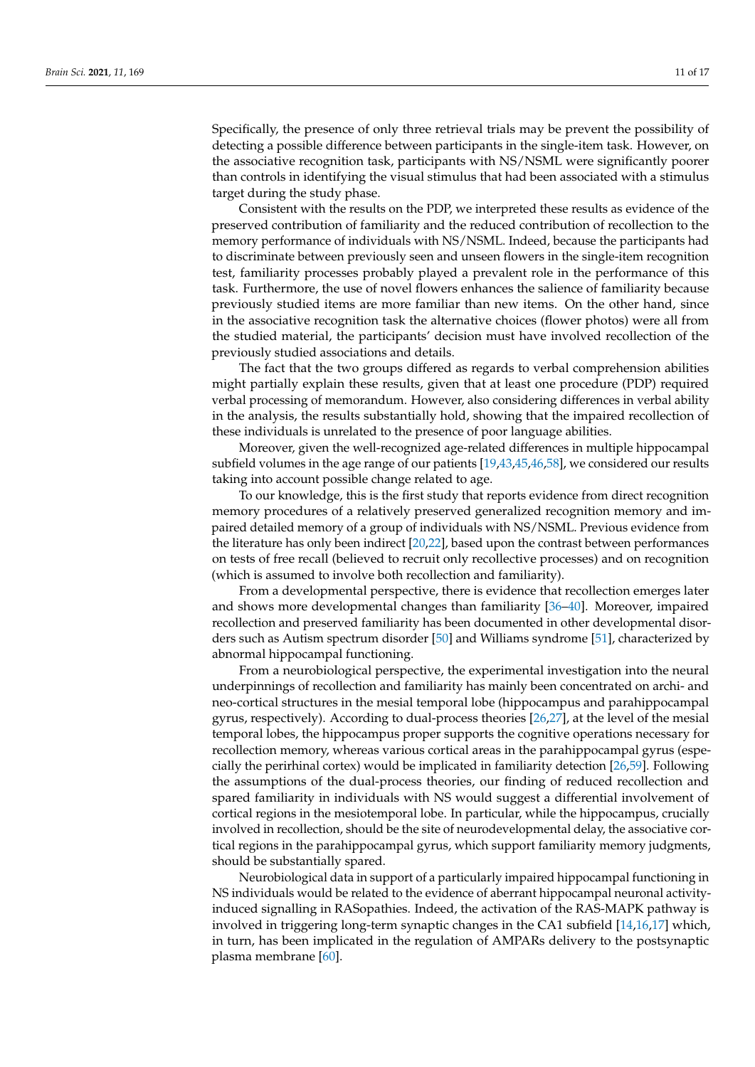Specifically, the presence of only three retrieval trials may be prevent the possibility of detecting a possible difference between participants in the single-item task. However, on the associative recognition task, participants with NS/NSML were significantly poorer than controls in identifying the visual stimulus that had been associated with a stimulus target during the study phase.

Consistent with the results on the PDP, we interpreted these results as evidence of the preserved contribution of familiarity and the reduced contribution of recollection to the memory performance of individuals with NS/NSML. Indeed, because the participants had to discriminate between previously seen and unseen flowers in the single-item recognition test, familiarity processes probably played a prevalent role in the performance of this task. Furthermore, the use of novel flowers enhances the salience of familiarity because previously studied items are more familiar than new items. On the other hand, since in the associative recognition task the alternative choices (flower photos) were all from the studied material, the participants' decision must have involved recollection of the previously studied associations and details.

The fact that the two groups differed as regards to verbal comprehension abilities might partially explain these results, given that at least one procedure (PDP) required verbal processing of memorandum. However, also considering differences in verbal ability in the analysis, the results substantially hold, showing that the impaired recollection of these individuals is unrelated to the presence of poor language abilities.

Moreover, given the well-recognized age-related differences in multiple hippocampal subfield volumes in the age range of our patients [\[19,](#page-14-4)[43](#page-15-0)[,45](#page-15-2)[,46,](#page-15-3)[58\]](#page-15-15), we considered our results taking into account possible change related to age.

To our knowledge, this is the first study that reports evidence from direct recognition memory procedures of a relatively preserved generalized recognition memory and impaired detailed memory of a group of individuals with NS/NSML. Previous evidence from the literature has only been indirect [\[20](#page-14-5)[,22\]](#page-14-7), based upon the contrast between performances on tests of free recall (believed to recruit only recollective processes) and on recognition (which is assumed to involve both recollection and familiarity).

From a developmental perspective, there is evidence that recollection emerges later and shows more developmental changes than familiarity [\[36](#page-14-22)[–40\]](#page-14-19). Moreover, impaired recollection and preserved familiarity has been documented in other developmental disorders such as Autism spectrum disorder [\[50\]](#page-15-7) and Williams syndrome [\[51\]](#page-15-8), characterized by abnormal hippocampal functioning.

From a neurobiological perspective, the experimental investigation into the neural underpinnings of recollection and familiarity has mainly been concentrated on archi- and neo-cortical structures in the mesial temporal lobe (hippocampus and parahippocampal gyrus, respectively). According to dual-process theories [\[26](#page-14-10)[,27\]](#page-14-11), at the level of the mesial temporal lobes, the hippocampus proper supports the cognitive operations necessary for recollection memory, whereas various cortical areas in the parahippocampal gyrus (especially the perirhinal cortex) would be implicated in familiarity detection [\[26](#page-14-10)[,59\]](#page-15-16). Following the assumptions of the dual-process theories, our finding of reduced recollection and spared familiarity in individuals with NS would suggest a differential involvement of cortical regions in the mesiotemporal lobe. In particular, while the hippocampus, crucially involved in recollection, should be the site of neurodevelopmental delay, the associative cortical regions in the parahippocampal gyrus, which support familiarity memory judgments, should be substantially spared.

Neurobiological data in support of a particularly impaired hippocampal functioning in NS individuals would be related to the evidence of aberrant hippocampal neuronal activityinduced signalling in RASopathies. Indeed, the activation of the RAS-MAPK pathway is involved in triggering long-term synaptic changes in the CA1 subfield [\[14,](#page-14-1)[16,](#page-14-23)[17\]](#page-14-2) which, in turn, has been implicated in the regulation of AMPARs delivery to the postsynaptic plasma membrane [\[60\]](#page-15-17).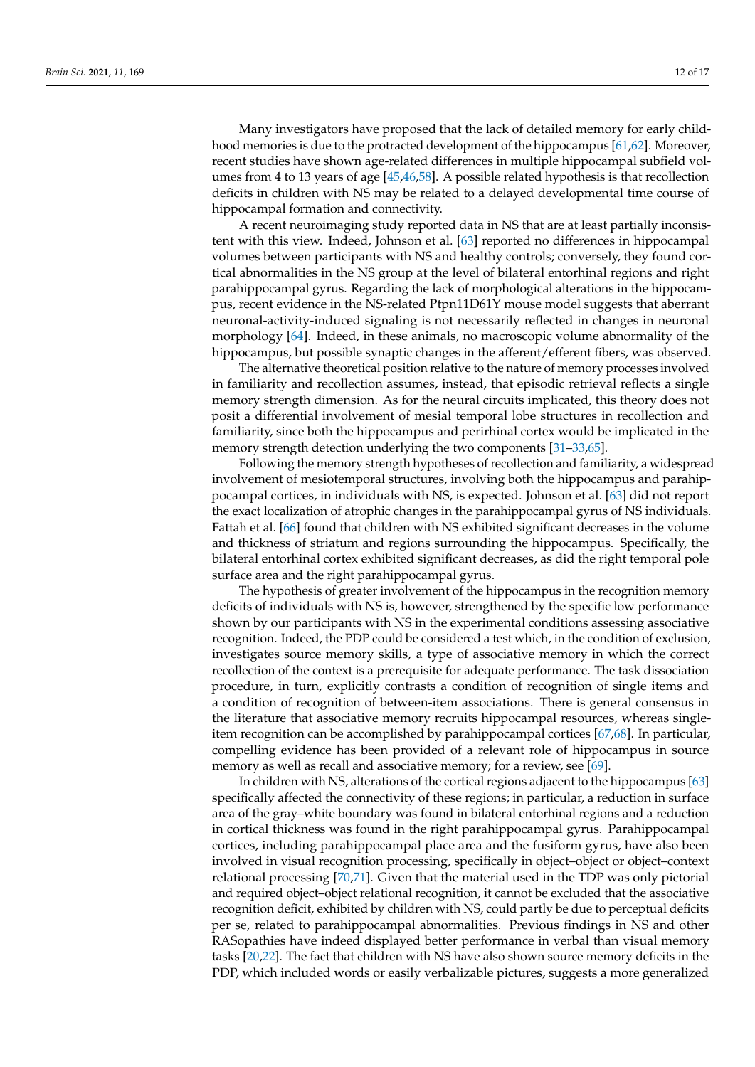Many investigators have proposed that the lack of detailed memory for early childhood memories is due to the protracted development of the hippocampus [\[61,](#page-15-18)[62\]](#page-15-19). Moreover, recent studies have shown age-related differences in multiple hippocampal subfield volumes from 4 to 13 years of age [\[45](#page-15-2)[,46](#page-15-3)[,58\]](#page-15-15). A possible related hypothesis is that recollection deficits in children with NS may be related to a delayed developmental time course of hippocampal formation and connectivity.

A recent neuroimaging study reported data in NS that are at least partially inconsistent with this view. Indeed, Johnson et al. [\[63\]](#page-15-20) reported no differences in hippocampal volumes between participants with NS and healthy controls; conversely, they found cortical abnormalities in the NS group at the level of bilateral entorhinal regions and right parahippocampal gyrus. Regarding the lack of morphological alterations in the hippocampus, recent evidence in the NS-related Ptpn11D61Y mouse model suggests that aberrant neuronal-activity-induced signaling is not necessarily reflected in changes in neuronal morphology [\[64\]](#page-15-21). Indeed, in these animals, no macroscopic volume abnormality of the hippocampus, but possible synaptic changes in the afferent/efferent fibers, was observed.

The alternative theoretical position relative to the nature of memory processes involved in familiarity and recollection assumes, instead, that episodic retrieval reflects a single memory strength dimension. As for the neural circuits implicated, this theory does not posit a differential involvement of mesial temporal lobe structures in recollection and familiarity, since both the hippocampus and perirhinal cortex would be implicated in the memory strength detection underlying the two components [\[31](#page-14-16)-33[,65\]](#page-15-22).

Following the memory strength hypotheses of recollection and familiarity, a widespread involvement of mesiotemporal structures, involving both the hippocampus and parahippocampal cortices, in individuals with NS, is expected. Johnson et al. [\[63\]](#page-15-20) did not report the exact localization of atrophic changes in the parahippocampal gyrus of NS individuals. Fattah et al. [\[66\]](#page-15-23) found that children with NS exhibited significant decreases in the volume and thickness of striatum and regions surrounding the hippocampus. Specifically, the bilateral entorhinal cortex exhibited significant decreases, as did the right temporal pole surface area and the right parahippocampal gyrus.

The hypothesis of greater involvement of the hippocampus in the recognition memory deficits of individuals with NS is, however, strengthened by the specific low performance shown by our participants with NS in the experimental conditions assessing associative recognition. Indeed, the PDP could be considered a test which, in the condition of exclusion, investigates source memory skills, a type of associative memory in which the correct recollection of the context is a prerequisite for adequate performance. The task dissociation procedure, in turn, explicitly contrasts a condition of recognition of single items and a condition of recognition of between-item associations. There is general consensus in the literature that associative memory recruits hippocampal resources, whereas singleitem recognition can be accomplished by parahippocampal cortices [\[67](#page-15-24)[,68\]](#page-15-25). In particular, compelling evidence has been provided of a relevant role of hippocampus in source memory as well as recall and associative memory; for a review, see [\[69\]](#page-15-26).

In children with NS, alterations of the cortical regions adjacent to the hippocampus [\[63\]](#page-15-20) specifically affected the connectivity of these regions; in particular, a reduction in surface area of the gray–white boundary was found in bilateral entorhinal regions and a reduction in cortical thickness was found in the right parahippocampal gyrus. Parahippocampal cortices, including parahippocampal place area and the fusiform gyrus, have also been involved in visual recognition processing, specifically in object–object or object–context relational processing [\[70,](#page-15-27)[71\]](#page-15-28). Given that the material used in the TDP was only pictorial and required object–object relational recognition, it cannot be excluded that the associative recognition deficit, exhibited by children with NS, could partly be due to perceptual deficits per se, related to parahippocampal abnormalities. Previous findings in NS and other RASopathies have indeed displayed better performance in verbal than visual memory tasks [\[20,](#page-14-5)[22\]](#page-14-7). The fact that children with NS have also shown source memory deficits in the PDP, which included words or easily verbalizable pictures, suggests a more generalized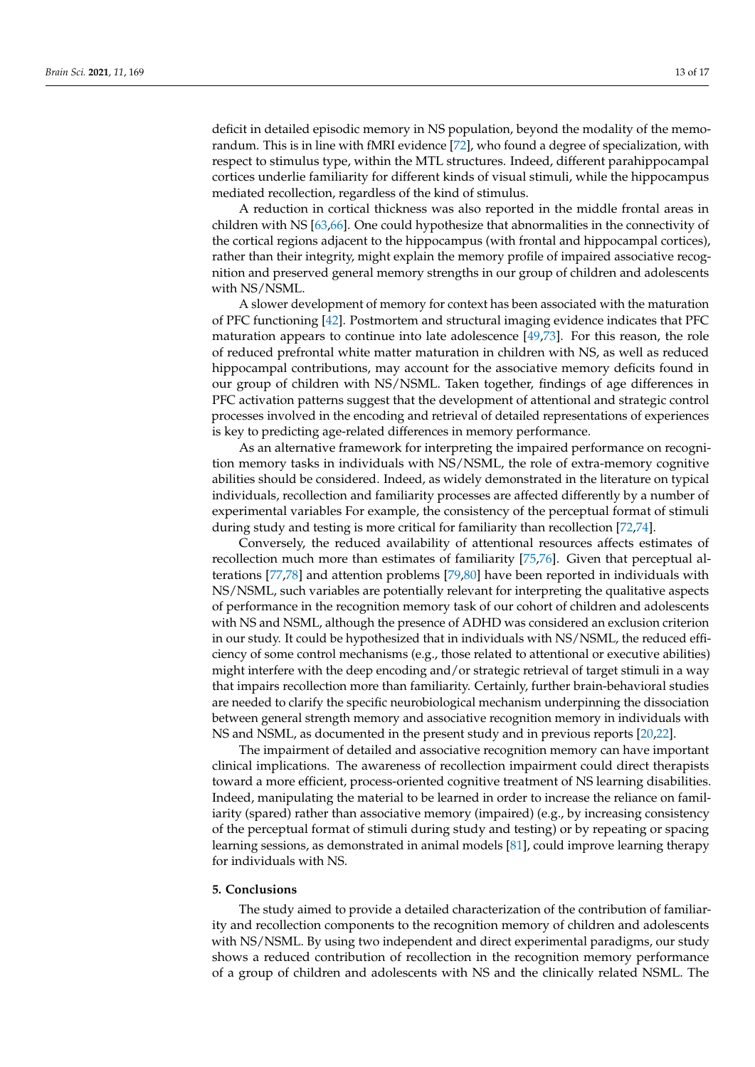deficit in detailed episodic memory in NS population, beyond the modality of the memorandum. This is in line with fMRI evidence [\[72\]](#page-15-29), who found a degree of specialization, with respect to stimulus type, within the MTL structures. Indeed, different parahippocampal cortices underlie familiarity for different kinds of visual stimuli, while the hippocampus mediated recollection, regardless of the kind of stimulus.

A reduction in cortical thickness was also reported in the middle frontal areas in children with NS [\[63,](#page-15-20)[66\]](#page-15-23). One could hypothesize that abnormalities in the connectivity of the cortical regions adjacent to the hippocampus (with frontal and hippocampal cortices), rather than their integrity, might explain the memory profile of impaired associative recognition and preserved general memory strengths in our group of children and adolescents with NS/NSML.

A slower development of memory for context has been associated with the maturation of PFC functioning [\[42\]](#page-14-18). Postmortem and structural imaging evidence indicates that PFC maturation appears to continue into late adolescence [\[49,](#page-15-6)[73\]](#page-15-30). For this reason, the role of reduced prefrontal white matter maturation in children with NS, as well as reduced hippocampal contributions, may account for the associative memory deficits found in our group of children with NS/NSML. Taken together, findings of age differences in PFC activation patterns suggest that the development of attentional and strategic control processes involved in the encoding and retrieval of detailed representations of experiences is key to predicting age-related differences in memory performance.

As an alternative framework for interpreting the impaired performance on recognition memory tasks in individuals with NS/NSML, the role of extra-memory cognitive abilities should be considered. Indeed, as widely demonstrated in the literature on typical individuals, recollection and familiarity processes are affected differently by a number of experimental variables For example, the consistency of the perceptual format of stimuli during study and testing is more critical for familiarity than recollection [\[72,](#page-15-29)[74\]](#page-16-0).

Conversely, the reduced availability of attentional resources affects estimates of recollection much more than estimates of familiarity [\[75](#page-16-1)[,76\]](#page-16-2). Given that perceptual alterations [\[77](#page-16-3)[,78\]](#page-16-4) and attention problems [\[79](#page-16-5)[,80\]](#page-16-6) have been reported in individuals with NS/NSML, such variables are potentially relevant for interpreting the qualitative aspects of performance in the recognition memory task of our cohort of children and adolescents with NS and NSML, although the presence of ADHD was considered an exclusion criterion in our study. It could be hypothesized that in individuals with NS/NSML, the reduced efficiency of some control mechanisms (e.g., those related to attentional or executive abilities) might interfere with the deep encoding and/or strategic retrieval of target stimuli in a way that impairs recollection more than familiarity. Certainly, further brain-behavioral studies are needed to clarify the specific neurobiological mechanism underpinning the dissociation between general strength memory and associative recognition memory in individuals with NS and NSML, as documented in the present study and in previous reports [\[20](#page-14-5)[,22\]](#page-14-7).

The impairment of detailed and associative recognition memory can have important clinical implications. The awareness of recollection impairment could direct therapists toward a more efficient, process-oriented cognitive treatment of NS learning disabilities. Indeed, manipulating the material to be learned in order to increase the reliance on familiarity (spared) rather than associative memory (impaired) (e.g., by increasing consistency of the perceptual format of stimuli during study and testing) or by repeating or spacing learning sessions, as demonstrated in animal models [\[81\]](#page-16-7), could improve learning therapy for individuals with NS.

## **5. Conclusions**

The study aimed to provide a detailed characterization of the contribution of familiarity and recollection components to the recognition memory of children and adolescents with NS/NSML. By using two independent and direct experimental paradigms, our study shows a reduced contribution of recollection in the recognition memory performance of a group of children and adolescents with NS and the clinically related NSML. The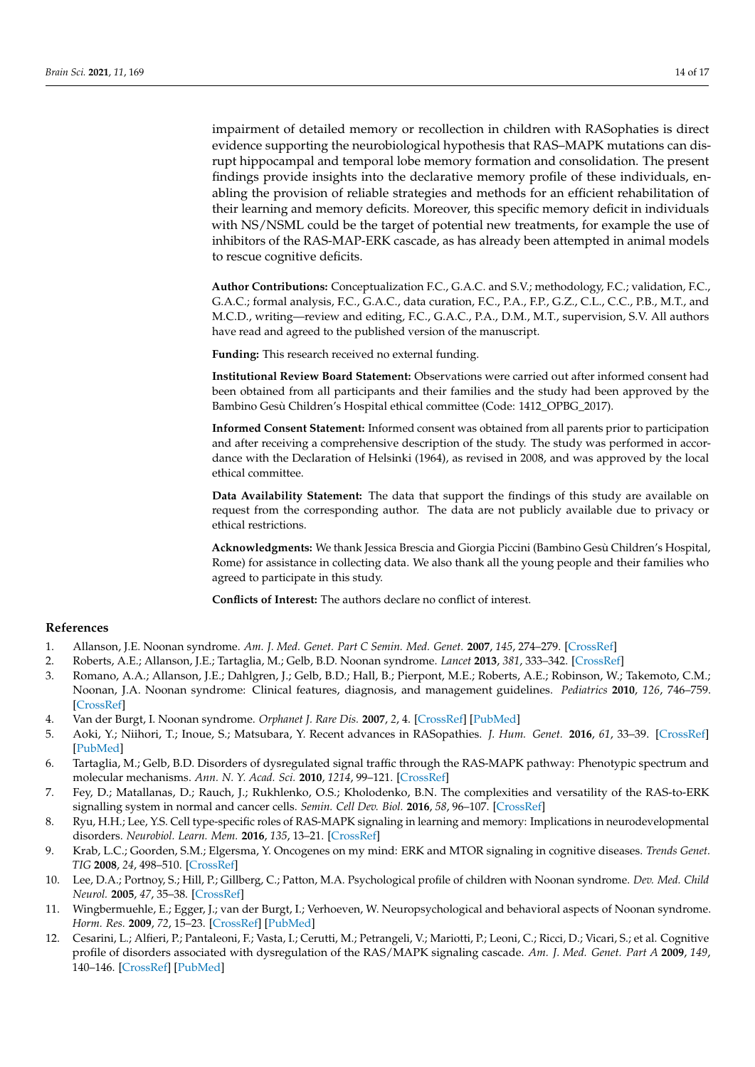impairment of detailed memory or recollection in children with RASophaties is direct evidence supporting the neurobiological hypothesis that RAS–MAPK mutations can disrupt hippocampal and temporal lobe memory formation and consolidation. The present findings provide insights into the declarative memory profile of these individuals, enabling the provision of reliable strategies and methods for an efficient rehabilitation of their learning and memory deficits. Moreover, this specific memory deficit in individuals with NS/NSML could be the target of potential new treatments, for example the use of inhibitors of the RAS-MAP-ERK cascade, as has already been attempted in animal models to rescue cognitive deficits.

**Author Contributions:** Conceptualization F.C., G.A.C. and S.V.; methodology, F.C.; validation, F.C., G.A.C.; formal analysis, F.C., G.A.C., data curation, F.C., P.A., F.P., G.Z., C.L., C.C., P.B., M.T., and M.C.D., writing—review and editing, F.C., G.A.C., P.A., D.M., M.T., supervision, S.V. All authors have read and agreed to the published version of the manuscript.

**Funding:** This research received no external funding.

**Institutional Review Board Statement:** Observations were carried out after informed consent had been obtained from all participants and their families and the study had been approved by the Bambino Gesù Children's Hospital ethical committee (Code: 1412\_OPBG\_2017).

**Informed Consent Statement:** Informed consent was obtained from all parents prior to participation and after receiving a comprehensive description of the study. The study was performed in accordance with the Declaration of Helsinki (1964), as revised in 2008, and was approved by the local ethical committee.

**Data Availability Statement:** The data that support the findings of this study are available on request from the corresponding author. The data are not publicly available due to privacy or ethical restrictions.

**Acknowledgments:** We thank Jessica Brescia and Giorgia Piccini (Bambino Gesù Children's Hospital, Rome) for assistance in collecting data. We also thank all the young people and their families who agreed to participate in this study.

**Conflicts of Interest:** The authors declare no conflict of interest.

### **References**

- <span id="page-13-0"></span>1. Allanson, J.E. Noonan syndrome. *Am. J. Med. Genet. Part C Semin. Med. Genet.* **2007**, *145*, 274–279. [\[CrossRef\]](http://doi.org/10.1002/ajmg.c.30138)
- <span id="page-13-1"></span>2. Roberts, A.E.; Allanson, J.E.; Tartaglia, M.; Gelb, B.D. Noonan syndrome. *Lancet* **2013**, *381*, 333–342. [\[CrossRef\]](http://doi.org/10.1016/S0140-6736(12)61023-X)
- 3. Romano, A.A.; Allanson, J.E.; Dahlgren, J.; Gelb, B.D.; Hall, B.; Pierpont, M.E.; Roberts, A.E.; Robinson, W.; Takemoto, C.M.; Noonan, J.A. Noonan syndrome: Clinical features, diagnosis, and management guidelines. *Pediatrics* **2010**, *126*, 746–759. [\[CrossRef\]](http://doi.org/10.1542/peds.2009-3207)
- <span id="page-13-2"></span>4. Van der Burgt, I. Noonan syndrome. *Orphanet J. Rare Dis.* **2007**, *2*, 4. [\[CrossRef\]](http://doi.org/10.1186/1750-1172-2-4) [\[PubMed\]](http://www.ncbi.nlm.nih.gov/pubmed/17222357)
- <span id="page-13-3"></span>5. Aoki, Y.; Niihori, T.; Inoue, S.; Matsubara, Y. Recent advances in RASopathies. *J. Hum. Genet.* **2016**, *61*, 33–39. [\[CrossRef\]](http://doi.org/10.1038/jhg.2015.114) [\[PubMed\]](http://www.ncbi.nlm.nih.gov/pubmed/26446362)
- <span id="page-13-4"></span>6. Tartaglia, M.; Gelb, B.D. Disorders of dysregulated signal traffic through the RAS-MAPK pathway: Phenotypic spectrum and molecular mechanisms. *Ann. N. Y. Acad. Sci.* **2010**, *1214*, 99–121. [\[CrossRef\]](http://doi.org/10.1111/j.1749-6632.2010.05790.x)
- <span id="page-13-5"></span>7. Fey, D.; Matallanas, D.; Rauch, J.; Rukhlenko, O.S.; Kholodenko, B.N. The complexities and versatility of the RAS-to-ERK signalling system in normal and cancer cells. *Semin. Cell Dev. Biol.* **2016**, *58*, 96–107. [\[CrossRef\]](http://doi.org/10.1016/j.semcdb.2016.06.011)
- <span id="page-13-6"></span>8. Ryu, H.H.; Lee, Y.S. Cell type-specific roles of RAS-MAPK signaling in learning and memory: Implications in neurodevelopmental disorders. *Neurobiol. Learn. Mem.* **2016**, *135*, 13–21. [\[CrossRef\]](http://doi.org/10.1016/j.nlm.2016.06.006)
- <span id="page-13-7"></span>9. Krab, L.C.; Goorden, S.M.; Elgersma, Y. Oncogenes on my mind: ERK and MTOR signaling in cognitive diseases. *Trends Genet. TIG* **2008**, *24*, 498–510. [\[CrossRef\]](http://doi.org/10.1016/j.tig.2008.07.005)
- <span id="page-13-8"></span>10. Lee, D.A.; Portnoy, S.; Hill, P.; Gillberg, C.; Patton, M.A. Psychological profile of children with Noonan syndrome. *Dev. Med. Child Neurol.* **2005**, *47*, 35–38. [\[CrossRef\]](http://doi.org/10.1111/j.1469-8749.2005.tb01037.x)
- <span id="page-13-9"></span>11. Wingbermuehle, E.; Egger, J.; van der Burgt, I.; Verhoeven, W. Neuropsychological and behavioral aspects of Noonan syndrome. *Horm. Res.* **2009**, *72*, 15–23. [\[CrossRef\]](http://doi.org/10.1159/000243774) [\[PubMed\]](http://www.ncbi.nlm.nih.gov/pubmed/20029232)
- <span id="page-13-10"></span>12. Cesarini, L.; Alfieri, P.; Pantaleoni, F.; Vasta, I.; Cerutti, M.; Petrangeli, V.; Mariotti, P.; Leoni, C.; Ricci, D.; Vicari, S.; et al. Cognitive profile of disorders associated with dysregulation of the RAS/MAPK signaling cascade. *Am. J. Med. Genet. Part A* **2009**, *149*, 140–146. [\[CrossRef\]](http://doi.org/10.1002/ajmg.a.32488) [\[PubMed\]](http://www.ncbi.nlm.nih.gov/pubmed/19133693)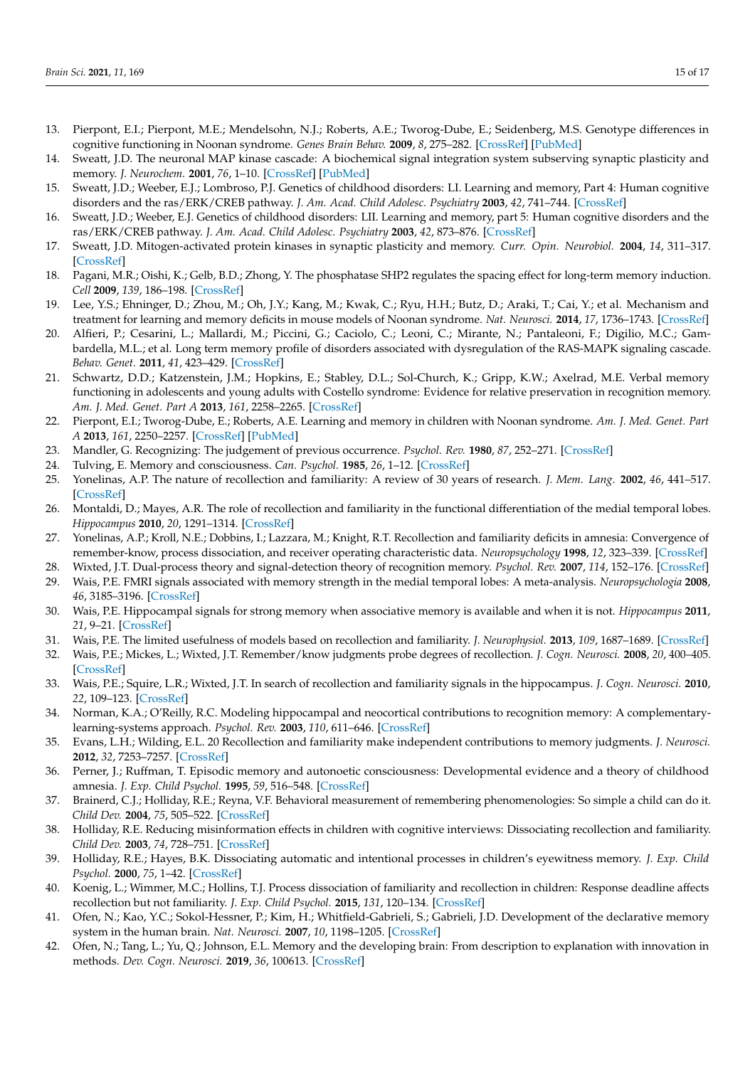- <span id="page-14-0"></span>13. Pierpont, E.I.; Pierpont, M.E.; Mendelsohn, N.J.; Roberts, A.E.; Tworog-Dube, E.; Seidenberg, M.S. Genotype differences in cognitive functioning in Noonan syndrome. *Genes Brain Behav.* **2009**, *8*, 275–282. [\[CrossRef\]](http://doi.org/10.1111/j.1601-183X.2008.00469.x) [\[PubMed\]](http://www.ncbi.nlm.nih.gov/pubmed/19077116)
- <span id="page-14-1"></span>14. Sweatt, J.D. The neuronal MAP kinase cascade: A biochemical signal integration system subserving synaptic plasticity and memory. *J. Neurochem.* **2001**, *76*, 1–10. [\[CrossRef\]](http://doi.org/10.1046/j.1471-4159.2001.00054.x) [\[PubMed\]](http://www.ncbi.nlm.nih.gov/pubmed/11145972)
- 15. Sweatt, J.D.; Weeber, E.J.; Lombroso, P.J. Genetics of childhood disorders: LI. Learning and memory, Part 4: Human cognitive disorders and the ras/ERK/CREB pathway. *J. Am. Acad. Child Adolesc. Psychiatry* **2003**, *42*, 741–744. [\[CrossRef\]](http://doi.org/10.1097/01.CHI.0000046859.56865.A8)
- <span id="page-14-23"></span>16. Sweatt, J.D.; Weeber, E.J. Genetics of childhood disorders: LII. Learning and memory, part 5: Human cognitive disorders and the ras/ERK/CREB pathway. *J. Am. Acad. Child Adolesc. Psychiatry* **2003**, *42*, 873–876. [\[CrossRef\]](http://doi.org/10.1097/01.CHI.0000046875.56865.CC)
- <span id="page-14-2"></span>17. Sweatt, J.D. Mitogen-activated protein kinases in synaptic plasticity and memory. *Curr. Opin. Neurobiol.* **2004**, *14*, 311–317. [\[CrossRef\]](http://doi.org/10.1016/j.conb.2004.04.001)
- <span id="page-14-3"></span>18. Pagani, M.R.; Oishi, K.; Gelb, B.D.; Zhong, Y. The phosphatase SHP2 regulates the spacing effect for long-term memory induction. *Cell* **2009**, *139*, 186–198. [\[CrossRef\]](http://doi.org/10.1016/j.cell.2009.08.033)
- <span id="page-14-4"></span>19. Lee, Y.S.; Ehninger, D.; Zhou, M.; Oh, J.Y.; Kang, M.; Kwak, C.; Ryu, H.H.; Butz, D.; Araki, T.; Cai, Y.; et al. Mechanism and treatment for learning and memory deficits in mouse models of Noonan syndrome. *Nat. Neurosci.* **2014**, *17*, 1736–1743. [\[CrossRef\]](http://doi.org/10.1038/nn.3863)
- <span id="page-14-5"></span>20. Alfieri, P.; Cesarini, L.; Mallardi, M.; Piccini, G.; Caciolo, C.; Leoni, C.; Mirante, N.; Pantaleoni, F.; Digilio, M.C.; Gambardella, M.L.; et al. Long term memory profile of disorders associated with dysregulation of the RAS-MAPK signaling cascade. *Behav. Genet.* **2011**, *41*, 423–429. [\[CrossRef\]](http://doi.org/10.1007/s10519-011-9446-5)
- <span id="page-14-6"></span>21. Schwartz, D.D.; Katzenstein, J.M.; Hopkins, E.; Stabley, D.L.; Sol-Church, K.; Gripp, K.W.; Axelrad, M.E. Verbal memory functioning in adolescents and young adults with Costello syndrome: Evidence for relative preservation in recognition memory. *Am. J. Med. Genet. Part A* **2013**, *161*, 2258–2265. [\[CrossRef\]](http://doi.org/10.1002/ajmg.a.36078)
- <span id="page-14-7"></span>22. Pierpont, E.I.; Tworog-Dube, E.; Roberts, A.E. Learning and memory in children with Noonan syndrome. *Am. J. Med. Genet. Part A* **2013**, *161*, 2250–2257. [\[CrossRef\]](http://doi.org/10.1002/ajmg.a.36075) [\[PubMed\]](http://www.ncbi.nlm.nih.gov/pubmed/23918208)
- <span id="page-14-8"></span>23. Mandler, G. Recognizing: The judgement of previous occurrence. *Psychol. Rev.* **1980**, *87*, 252–271. [\[CrossRef\]](http://doi.org/10.1037/0033-295X.87.3.252)
- 24. Tulving, E. Memory and consciousness. *Can. Psychol.* **1985**, *26*, 1–12. [\[CrossRef\]](http://doi.org/10.1037/h0080017)
- <span id="page-14-9"></span>25. Yonelinas, A.P. The nature of recollection and familiarity: A review of 30 years of research. *J. Mem. Lang.* **2002**, *46*, 441–517. [\[CrossRef\]](http://doi.org/10.1006/jmla.2002.2864)
- <span id="page-14-10"></span>26. Montaldi, D.; Mayes, A.R. The role of recollection and familiarity in the functional differentiation of the medial temporal lobes. *Hippocampus* **2010**, *20*, 1291–1314. [\[CrossRef\]](http://doi.org/10.1002/hipo.20853)
- <span id="page-14-11"></span>27. Yonelinas, A.P.; Kroll, N.E.; Dobbins, I.; Lazzara, M.; Knight, R.T. Recollection and familiarity deficits in amnesia: Convergence of remember-know, process dissociation, and receiver operating characteristic data. *Neuropsychology* **1998**, *12*, 323–339. [\[CrossRef\]](http://doi.org/10.1037/0894-4105.12.3.323)
- <span id="page-14-12"></span>28. Wixted, J.T. Dual-process theory and signal-detection theory of recognition memory. *Psychol. Rev.* **2007**, *114*, 152–176. [\[CrossRef\]](http://doi.org/10.1037/0033-295X.114.1.152)
- 29. Wais, P.E. FMRI signals associated with memory strength in the medial temporal lobes: A meta-analysis. *Neuropsychologia* **2008**, *46*, 3185–3196. [\[CrossRef\]](http://doi.org/10.1016/j.neuropsychologia.2008.08.025)
- <span id="page-14-20"></span>30. Wais, P.E. Hippocampal signals for strong memory when associative memory is available and when it is not. *Hippocampus* **2011**, *21*, 9–21. [\[CrossRef\]](http://doi.org/10.1002/hipo.20716)
- <span id="page-14-16"></span>31. Wais, P.E. The limited usefulness of models based on recollection and familiarity. *J. Neurophysiol.* **2013**, *109*, 1687–1689. [\[CrossRef\]](http://doi.org/10.1152/jn.00548.2012)
- 32. Wais, P.E.; Mickes, L.; Wixted, J.T. Remember/know judgments probe degrees of recollection. *J. Cogn. Neurosci.* **2008**, *20*, 400–405. [\[CrossRef\]](http://doi.org/10.1162/jocn.2008.20041)
- <span id="page-14-13"></span>33. Wais, P.E.; Squire, L.R.; Wixted, J.T. In search of recollection and familiarity signals in the hippocampus. *J. Cogn. Neurosci.* **2010**, *22*, 109–123. [\[CrossRef\]](http://doi.org/10.1162/jocn.2009.21190)
- <span id="page-14-14"></span>34. Norman, K.A.; O'Reilly, R.C. Modeling hippocampal and neocortical contributions to recognition memory: A complementarylearning-systems approach. *Psychol. Rev.* **2003**, *110*, 611–646. [\[CrossRef\]](http://doi.org/10.1037/0033-295X.110.4.611)
- <span id="page-14-15"></span>35. Evans, L.H.; Wilding, E.L. 20 Recollection and familiarity make independent contributions to memory judgments. *J. Neurosci.* **2012**, *32*, 7253–7257. [\[CrossRef\]](http://doi.org/10.1523/JNEUROSCI.6396-11.2012)
- <span id="page-14-22"></span>36. Perner, J.; Ruffman, T. Episodic memory and autonoetic consciousness: Developmental evidence and a theory of childhood amnesia. *J. Exp. Child Psychol.* **1995**, *59*, 516–548. [\[CrossRef\]](http://doi.org/10.1006/jecp.1995.1024)
- <span id="page-14-21"></span>37. Brainerd, C.J.; Holliday, R.E.; Reyna, V.F. Behavioral measurement of remembering phenomenologies: So simple a child can do it. *Child Dev.* **2004**, *75*, 505–522. [\[CrossRef\]](http://doi.org/10.1111/j.1467-8624.2004.00689.x)
- 38. Holliday, R.E. Reducing misinformation effects in children with cognitive interviews: Dissociating recollection and familiarity. *Child Dev.* **2003**, *74*, 728–751. [\[CrossRef\]](http://doi.org/10.1111/1467-8624.00565)
- 39. Holliday, R.E.; Hayes, B.K. Dissociating automatic and intentional processes in children's eyewitness memory. *J. Exp. Child Psychol.* **2000**, *75*, 1–42. [\[CrossRef\]](http://doi.org/10.1006/jecp.1999.2521)
- <span id="page-14-19"></span>40. Koenig, L.; Wimmer, M.C.; Hollins, T.J. Process dissociation of familiarity and recollection in children: Response deadline affects recollection but not familiarity. *J. Exp. Child Psychol.* **2015**, *131*, 120–134. [\[CrossRef\]](http://doi.org/10.1016/j.jecp.2014.11.003)
- <span id="page-14-17"></span>41. Ofen, N.; Kao, Y.C.; Sokol-Hessner, P.; Kim, H.; Whitfield-Gabrieli, S.; Gabrieli, J.D. Development of the declarative memory system in the human brain. *Nat. Neurosci.* **2007**, *10*, 1198–1205. [\[CrossRef\]](http://doi.org/10.1038/nn1950)
- <span id="page-14-18"></span>42. Ofen, N.; Tang, L.; Yu, Q.; Johnson, E.L. Memory and the developing brain: From description to explanation with innovation in methods. *Dev. Cogn. Neurosci.* **2019**, *36*, 100613. [\[CrossRef\]](http://doi.org/10.1016/j.dcn.2018.12.011)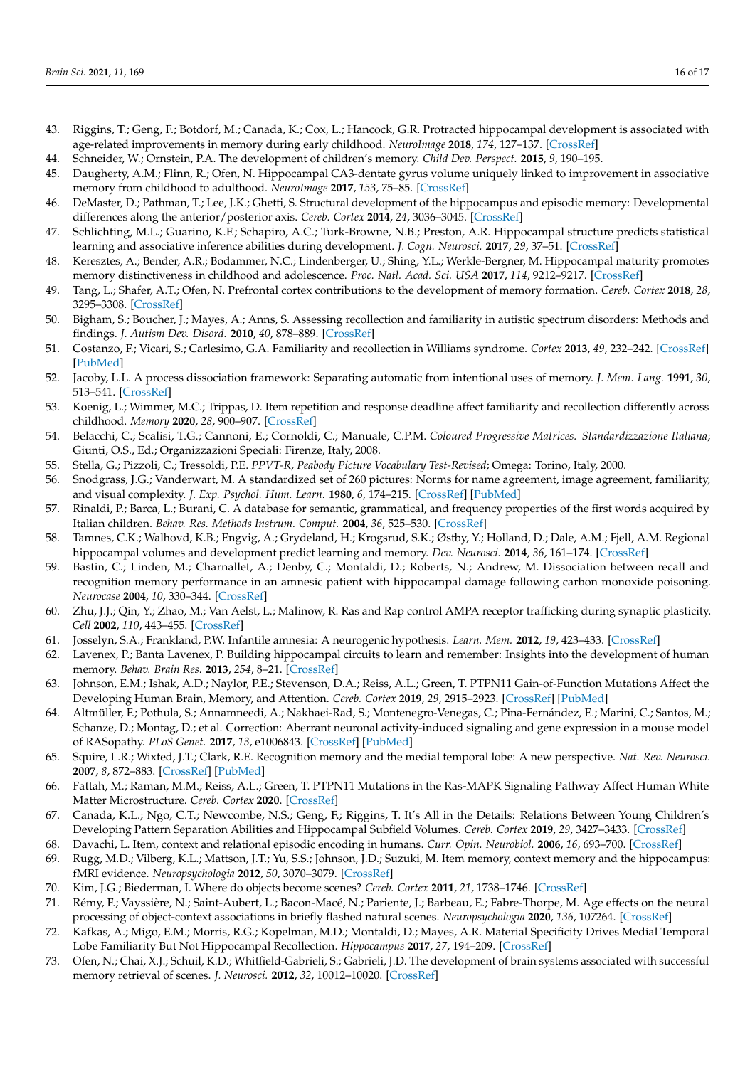- <span id="page-15-0"></span>43. Riggins, T.; Geng, F.; Botdorf, M.; Canada, K.; Cox, L.; Hancock, G.R. Protracted hippocampal development is associated with age-related improvements in memory during early childhood. *NeuroImage* **2018**, *174*, 127–137. [\[CrossRef\]](http://doi.org/10.1016/j.neuroimage.2018.03.009)
- <span id="page-15-1"></span>44. Schneider, W.; Ornstein, P.A. The development of children's memory. *Child Dev. Perspect.* **2015**, *9*, 190–195.
- <span id="page-15-2"></span>45. Daugherty, A.M.; Flinn, R.; Ofen, N. Hippocampal CA3-dentate gyrus volume uniquely linked to improvement in associative memory from childhood to adulthood. *NeuroImage* **2017**, *153*, 75–85. [\[CrossRef\]](http://doi.org/10.1016/j.neuroimage.2017.03.047)
- <span id="page-15-3"></span>46. DeMaster, D.; Pathman, T.; Lee, J.K.; Ghetti, S. Structural development of the hippocampus and episodic memory: Developmental differences along the anterior/posterior axis. *Cereb. Cortex* **2014**, *24*, 3036–3045. [\[CrossRef\]](http://doi.org/10.1093/cercor/bht160)
- <span id="page-15-4"></span>47. Schlichting, M.L.; Guarino, K.F.; Schapiro, A.C.; Turk-Browne, N.B.; Preston, A.R. Hippocampal structure predicts statistical learning and associative inference abilities during development. *J. Cogn. Neurosci.* **2017**, *29*, 37–51. [\[CrossRef\]](http://doi.org/10.1162/jocn_a_01028)
- <span id="page-15-5"></span>48. Keresztes, A.; Bender, A.R.; Bodammer, N.C.; Lindenberger, U.; Shing, Y.L.; Werkle-Bergner, M. Hippocampal maturity promotes memory distinctiveness in childhood and adolescence. *Proc. Natl. Acad. Sci. USA* **2017**, *114*, 9212–9217. [\[CrossRef\]](http://doi.org/10.1073/pnas.1710654114)
- <span id="page-15-6"></span>49. Tang, L.; Shafer, A.T.; Ofen, N. Prefrontal cortex contributions to the development of memory formation. *Cereb. Cortex* **2018**, *28*, 3295–3308. [\[CrossRef\]](http://doi.org/10.1093/cercor/bhx200)
- <span id="page-15-7"></span>50. Bigham, S.; Boucher, J.; Mayes, A.; Anns, S. Assessing recollection and familiarity in autistic spectrum disorders: Methods and findings. *J. Autism Dev. Disord.* **2010**, *40*, 878–889. [\[CrossRef\]](http://doi.org/10.1007/s10803-010-0937-7)
- <span id="page-15-8"></span>51. Costanzo, F.; Vicari, S.; Carlesimo, G.A. Familiarity and recollection in Williams syndrome. *Cortex* **2013**, *49*, 232–242. [\[CrossRef\]](http://doi.org/10.1016/j.cortex.2011.06.007) [\[PubMed\]](http://www.ncbi.nlm.nih.gov/pubmed/21774924)
- <span id="page-15-9"></span>52. Jacoby, L.L. A process dissociation framework: Separating automatic from intentional uses of memory. *J. Mem. Lang.* **1991**, *30*, 513–541. [\[CrossRef\]](http://doi.org/10.1016/0749-596X(91)90025-F)
- <span id="page-15-10"></span>53. Koenig, L.; Wimmer, M.C.; Trippas, D. Item repetition and response deadline affect familiarity and recollection differently across childhood. *Memory* **2020**, *28*, 900–907. [\[CrossRef\]](http://doi.org/10.1080/09658211.2020.1790612)
- <span id="page-15-11"></span>54. Belacchi, C.; Scalisi, T.G.; Cannoni, E.; Cornoldi, C.; Manuale, C.P.M. *Coloured Progressive Matrices. Standardizzazione Italiana*; Giunti, O.S., Ed.; Organizzazioni Speciali: Firenze, Italy, 2008.
- <span id="page-15-12"></span>55. Stella, G.; Pizzoli, C.; Tressoldi, P.E. *PPVT-R, Peabody Picture Vocabulary Test-Revised*; Omega: Torino, Italy, 2000.
- <span id="page-15-13"></span>56. Snodgrass, J.G.; Vanderwart, M. A standardized set of 260 pictures: Norms for name agreement, image agreement, familiarity, and visual complexity. *J. Exp. Psychol. Hum. Learn.* **1980**, *6*, 174–215. [\[CrossRef\]](http://doi.org/10.1037/0278-7393.6.2.174) [\[PubMed\]](http://www.ncbi.nlm.nih.gov/pubmed/7373248)
- <span id="page-15-14"></span>57. Rinaldi, P.; Barca, L.; Burani, C. A database for semantic, grammatical, and frequency properties of the first words acquired by Italian children. *Behav. Res. Methods Instrum. Comput.* **2004**, *36*, 525–530. [\[CrossRef\]](http://doi.org/10.3758/BF03195599)
- <span id="page-15-15"></span>58. Tamnes, C.K.; Walhovd, K.B.; Engvig, A.; Grydeland, H.; Krogsrud, S.K.; Østby, Y.; Holland, D.; Dale, A.M.; Fjell, A.M. Regional hippocampal volumes and development predict learning and memory. *Dev. Neurosci.* **2014**, *36*, 161–174. [\[CrossRef\]](http://doi.org/10.1159/000362445)
- <span id="page-15-16"></span>59. Bastin, C.; Linden, M.; Charnallet, A.; Denby, C.; Montaldi, D.; Roberts, N.; Andrew, M. Dissociation between recall and recognition memory performance in an amnesic patient with hippocampal damage following carbon monoxide poisoning. *Neurocase* **2004**, *10*, 330–344. [\[CrossRef\]](http://doi.org/10.1080/13554790490507650)
- <span id="page-15-17"></span>60. Zhu, J.J.; Qin, Y.; Zhao, M.; Van Aelst, L.; Malinow, R. Ras and Rap control AMPA receptor trafficking during synaptic plasticity. *Cell* **2002**, *110*, 443–455. [\[CrossRef\]](http://doi.org/10.1016/S0092-8674(02)00897-8)
- <span id="page-15-18"></span>61. Josselyn, S.A.; Frankland, P.W. Infantile amnesia: A neurogenic hypothesis. *Learn. Mem.* **2012**, *19*, 423–433. [\[CrossRef\]](http://doi.org/10.1101/lm.021311.110)
- <span id="page-15-19"></span>62. Lavenex, P.; Banta Lavenex, P. Building hippocampal circuits to learn and remember: Insights into the development of human memory. *Behav. Brain Res.* **2013**, *254*, 8–21. [\[CrossRef\]](http://doi.org/10.1016/j.bbr.2013.02.007)
- <span id="page-15-20"></span>63. Johnson, E.M.; Ishak, A.D.; Naylor, P.E.; Stevenson, D.A.; Reiss, A.L.; Green, T. PTPN11 Gain-of-Function Mutations Affect the Developing Human Brain, Memory, and Attention. *Cereb. Cortex* **2019**, *29*, 2915–2923. [\[CrossRef\]](http://doi.org/10.1093/cercor/bhy158) [\[PubMed\]](http://www.ncbi.nlm.nih.gov/pubmed/30059958)
- <span id="page-15-21"></span>64. Altmüller, F.; Pothula, S.; Annamneedi, A.; Nakhaei-Rad, S.; Montenegro-Venegas, C.; Pina-Fernández, E.; Marini, C.; Santos, M.; Schanze, D.; Montag, D.; et al. Correction: Aberrant neuronal activity-induced signaling and gene expression in a mouse model of RASopathy. *PLoS Genet.* **2017**, *13*, e1006843. [\[CrossRef\]](http://doi.org/10.1371/journal.pgen.1006843) [\[PubMed\]](http://www.ncbi.nlm.nih.gov/pubmed/28622382)
- <span id="page-15-22"></span>65. Squire, L.R.; Wixted, J.T.; Clark, R.E. Recognition memory and the medial temporal lobe: A new perspective. *Nat. Rev. Neurosci.* **2007**, *8*, 872–883. [\[CrossRef\]](http://doi.org/10.1038/nrn2154) [\[PubMed\]](http://www.ncbi.nlm.nih.gov/pubmed/17948032)
- <span id="page-15-23"></span>66. Fattah, M.; Raman, M.M.; Reiss, A.L.; Green, T. PTPN11 Mutations in the Ras-MAPK Signaling Pathway Affect Human White Matter Microstructure. *Cereb. Cortex* **2020**. [\[CrossRef\]](http://doi.org/10.1093/cercor/bhaa299)
- <span id="page-15-24"></span>67. Canada, K.L.; Ngo, C.T.; Newcombe, N.S.; Geng, F.; Riggins, T. It's All in the Details: Relations Between Young Children's Developing Pattern Separation Abilities and Hippocampal Subfield Volumes. *Cereb. Cortex* **2019**, *29*, 3427–3433. [\[CrossRef\]](http://doi.org/10.1093/cercor/bhy211)
- <span id="page-15-25"></span>68. Davachi, L. Item, context and relational episodic encoding in humans. *Curr. Opin. Neurobiol.* **2006**, *16*, 693–700. [\[CrossRef\]](http://doi.org/10.1016/j.conb.2006.10.012)
- <span id="page-15-26"></span>69. Rugg, M.D.; Vilberg, K.L.; Mattson, J.T.; Yu, S.S.; Johnson, J.D.; Suzuki, M. Item memory, context memory and the hippocampus: fMRI evidence. *Neuropsychologia* **2012**, *50*, 3070–3079. [\[CrossRef\]](http://doi.org/10.1016/j.neuropsychologia.2012.06.004)
- <span id="page-15-27"></span>70. Kim, J.G.; Biederman, I. Where do objects become scenes? *Cereb. Cortex* **2011**, *21*, 1738–1746. [\[CrossRef\]](http://doi.org/10.1093/cercor/bhq240)
- <span id="page-15-28"></span>71. Rémy, F.; Vayssière, N.; Saint-Aubert, L.; Bacon-Macé, N.; Pariente, J.; Barbeau, E.; Fabre-Thorpe, M. Age effects on the neural processing of object-context associations in briefly flashed natural scenes. *Neuropsychologia* **2020**, *136*, 107264. [\[CrossRef\]](http://doi.org/10.1016/j.neuropsychologia.2019.107264)
- <span id="page-15-29"></span>72. Kafkas, A.; Migo, E.M.; Morris, R.G.; Kopelman, M.D.; Montaldi, D.; Mayes, A.R. Material Specificity Drives Medial Temporal Lobe Familiarity But Not Hippocampal Recollection. *Hippocampus* **2017**, *27*, 194–209. [\[CrossRef\]](http://doi.org/10.1002/hipo.22683)
- <span id="page-15-30"></span>73. Ofen, N.; Chai, X.J.; Schuil, K.D.; Whitfield-Gabrieli, S.; Gabrieli, J.D. The development of brain systems associated with successful memory retrieval of scenes. *J. Neurosci.* **2012**, *32*, 10012–10020. [\[CrossRef\]](http://doi.org/10.1523/JNEUROSCI.1082-11.2012)